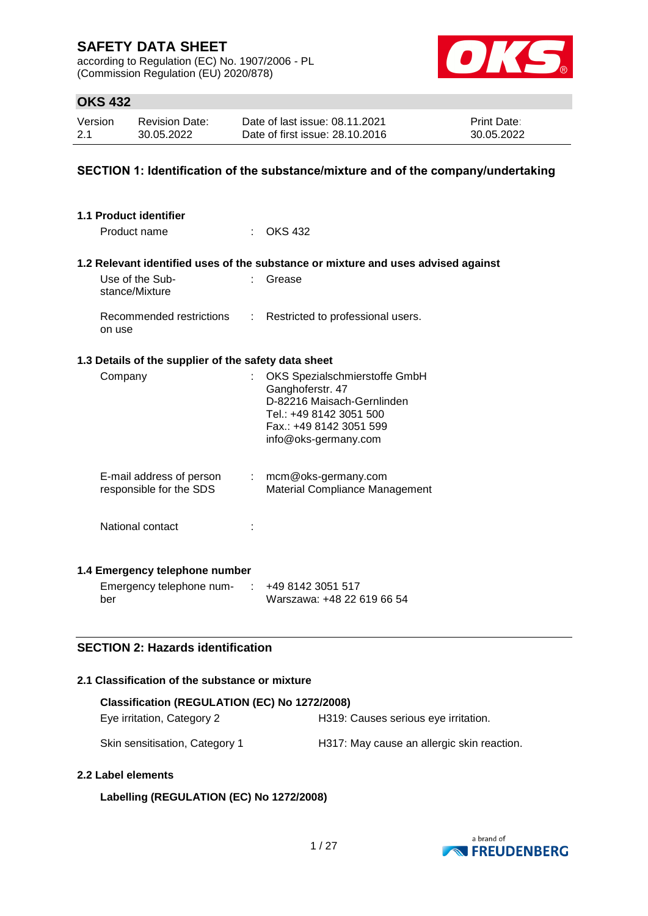according to Regulation (EC) No. 1907/2006 - PL (Commission Regulation (EU) 2020/878)



## **OKS 432**

| Version | <b>Revision Date:</b> | Date of last issue: 08.11.2021  | <b>Print Date:</b> |
|---------|-----------------------|---------------------------------|--------------------|
| 2.1     | 30.05.2022            | Date of first issue: 28.10.2016 | 30.05.2022         |

## **SECTION 1: Identification of the substance/mixture and of the company/undertaking**

| 1.1 Product identifier<br>Product name               |                    | <b>OKS 432</b>                                                                                                                                                |
|------------------------------------------------------|--------------------|---------------------------------------------------------------------------------------------------------------------------------------------------------------|
|                                                      |                    |                                                                                                                                                               |
|                                                      |                    | 1.2 Relevant identified uses of the substance or mixture and uses advised against                                                                             |
| Use of the Sub-<br>stance/Mixture                    |                    | Grease                                                                                                                                                        |
| Recommended restrictions<br>on use                   | $\mathbb{Z}^{n-1}$ | Restricted to professional users.                                                                                                                             |
| 1.3 Details of the supplier of the safety data sheet |                    |                                                                                                                                                               |
| Company                                              |                    | OKS Spezialschmierstoffe GmbH<br>Ganghoferstr. 47<br>D-82216 Maisach-Gernlinden<br>Tel.: +49 8142 3051 500<br>Fax.: +49 8142 3051 599<br>info@oks-germany.com |
| E-mail address of person<br>responsible for the SDS  |                    | $:$ mcm@oks-germany.com<br>Material Compliance Management                                                                                                     |
| National contact                                     |                    |                                                                                                                                                               |
| 1.4 Emergency telephone number                       |                    |                                                                                                                                                               |
| Emergency telephone num-<br>ber                      |                    | +49 8142 3051 517<br>Warszawa: +48 22 619 66 54                                                                                                               |

### **SECTION 2: Hazards identification**

### **2.1 Classification of the substance or mixture**

| Classification (REGULATION (EC) No 1272/2008) |                                            |  |  |  |
|-----------------------------------------------|--------------------------------------------|--|--|--|
| Eye irritation, Category 2                    | H319: Causes serious eye irritation.       |  |  |  |
| Skin sensitisation, Category 1                | H317: May cause an allergic skin reaction. |  |  |  |

#### **2.2 Label elements**

**Labelling (REGULATION (EC) No 1272/2008)**

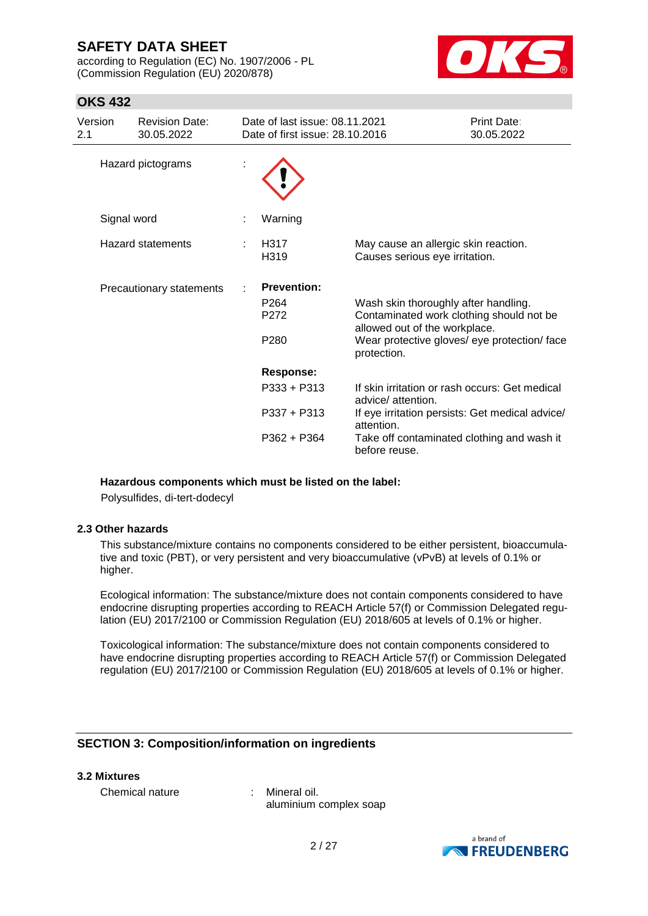according to Regulation (EC) No. 1907/2006 - PL (Commission Regulation (EU) 2020/878)



## **OKS 432**

| Version<br>2.1 | <b>Revision Date:</b><br>30.05.2022 | Date of last issue: 08.11.2021<br>Date of first issue: 28.10.2016 |                                | Print Date:<br>30.05.2022                                                        |
|----------------|-------------------------------------|-------------------------------------------------------------------|--------------------------------|----------------------------------------------------------------------------------|
|                | Hazard pictograms                   |                                                                   |                                |                                                                                  |
|                | Signal word                         | Warning                                                           |                                |                                                                                  |
|                | <b>Hazard statements</b>            | H317<br>H <sub>319</sub>                                          | Causes serious eye irritation. | May cause an allergic skin reaction.                                             |
|                | Precautionary statements            | <b>Prevention:</b>                                                |                                |                                                                                  |
|                |                                     | P <sub>264</sub><br>P <sub>272</sub>                              | allowed out of the workplace.  | Wash skin thoroughly after handling.<br>Contaminated work clothing should not be |
|                |                                     | P <sub>280</sub>                                                  | protection.                    | Wear protective gloves/ eye protection/ face                                     |
|                |                                     | <b>Response:</b>                                                  |                                |                                                                                  |
|                |                                     | $P333 + P313$                                                     | advice/attention.              | If skin irritation or rash occurs: Get medical                                   |
|                |                                     | $P337 + P313$                                                     | attention.                     | If eye irritation persists: Get medical advice/                                  |
|                |                                     | P362 + P364                                                       | before reuse.                  | Take off contaminated clothing and wash it                                       |

### **Hazardous components which must be listed on the label:**

Polysulfides, di-tert-dodecyl

### **2.3 Other hazards**

This substance/mixture contains no components considered to be either persistent, bioaccumulative and toxic (PBT), or very persistent and very bioaccumulative (vPvB) at levels of 0.1% or higher.

Ecological information: The substance/mixture does not contain components considered to have endocrine disrupting properties according to REACH Article 57(f) or Commission Delegated regulation (EU) 2017/2100 or Commission Regulation (EU) 2018/605 at levels of 0.1% or higher.

Toxicological information: The substance/mixture does not contain components considered to have endocrine disrupting properties according to REACH Article 57(f) or Commission Delegated regulation (EU) 2017/2100 or Commission Regulation (EU) 2018/605 at levels of 0.1% or higher.

### **SECTION 3: Composition/information on ingredients**

#### **3.2 Mixtures**

Chemical nature : Mineral oil.

aluminium complex soap

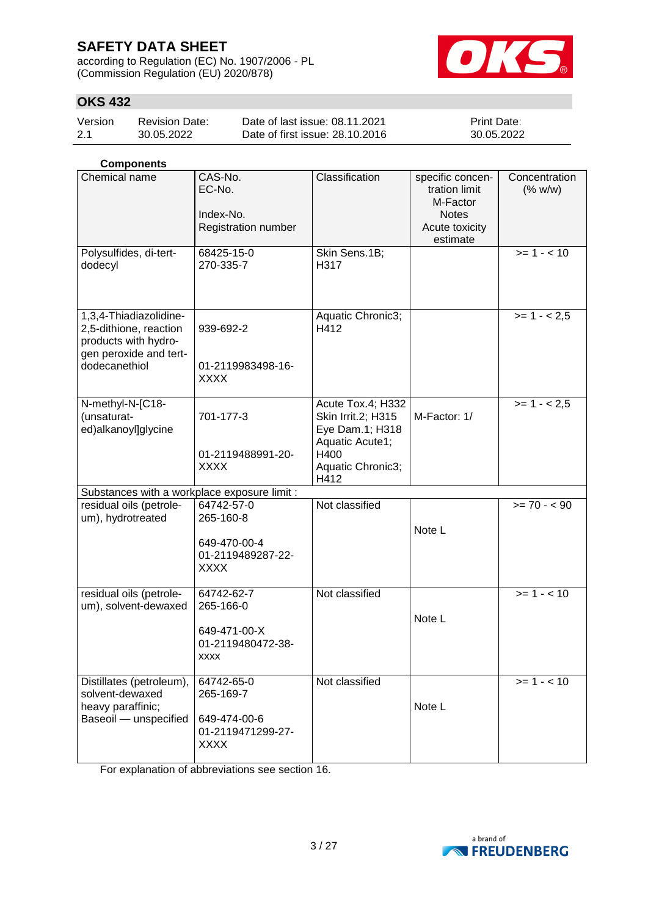according to Regulation (EC) No. 1907/2006 - PL (Commission Regulation (EU) 2020/878)



## **OKS 432**

| Version | <b>Revision Date:</b> |
|---------|-----------------------|
| 2.1     | 30.05.2022            |

Date of last issue: 08.11.2021 Date of first issue: 28.10.2016 Print Date: 30.05.2022

| <b>Components</b>                                                                                                   |                                                                             |                                                                                                                    |                                                                                 |                          |
|---------------------------------------------------------------------------------------------------------------------|-----------------------------------------------------------------------------|--------------------------------------------------------------------------------------------------------------------|---------------------------------------------------------------------------------|--------------------------|
| Chemical name                                                                                                       | CAS-No.<br>EC-No.<br>Index-No.<br>Registration number                       | Classification                                                                                                     | specific concen-<br>tration limit<br>M-Factor<br><b>Notes</b><br>Acute toxicity | Concentration<br>(% w/w) |
| Polysulfides, di-tert-                                                                                              | 68425-15-0                                                                  | Skin Sens.1B;                                                                                                      | estimate                                                                        | $>= 1 - 10$              |
| dodecyl                                                                                                             | 270-335-7                                                                   | H317                                                                                                               |                                                                                 |                          |
| 1,3,4-Thiadiazolidine-<br>2,5-dithione, reaction<br>products with hydro-<br>gen peroxide and tert-<br>dodecanethiol | 939-692-2<br>01-2119983498-16-<br><b>XXXX</b>                               | Aquatic Chronic3;<br>H412                                                                                          |                                                                                 | $>= 1 - 2.5$             |
| N-methyl-N-[C18-<br>(unsaturat-<br>ed)alkanoyl]glycine                                                              | 701-177-3<br>01-2119488991-20-<br><b>XXXX</b>                               | Acute Tox.4; H332<br>Skin Irrit.2; H315<br>Eye Dam.1; H318<br>Aquatic Acute1;<br>H400<br>Aquatic Chronic3;<br>H412 | M-Factor: 1/                                                                    | $>= 1 - 2.5$             |
| Substances with a workplace exposure limit :                                                                        |                                                                             |                                                                                                                    |                                                                                 |                          |
| residual oils (petrole-<br>um), hydrotreated                                                                        | 64742-57-0<br>265-160-8<br>649-470-00-4<br>01-2119489287-22-<br><b>XXXX</b> | Not classified                                                                                                     | Note L                                                                          | $>= 70 - 90$             |
| residual oils (petrole-<br>um), solvent-dewaxed                                                                     | 64742-62-7<br>265-166-0<br>649-471-00-X<br>01-2119480472-38-<br><b>XXXX</b> | Not classified                                                                                                     | Note L                                                                          | $>= 1 - 10$              |
| Distillates (petroleum),<br>solvent-dewaxed<br>heavy paraffinic;<br>Baseoil - unspecified                           | 64742-65-0<br>265-169-7<br>649-474-00-6<br>01-2119471299-27-<br><b>XXXX</b> | Not classified                                                                                                     | Note L                                                                          | $>= 1 - 10$              |

For explanation of abbreviations see section 16.

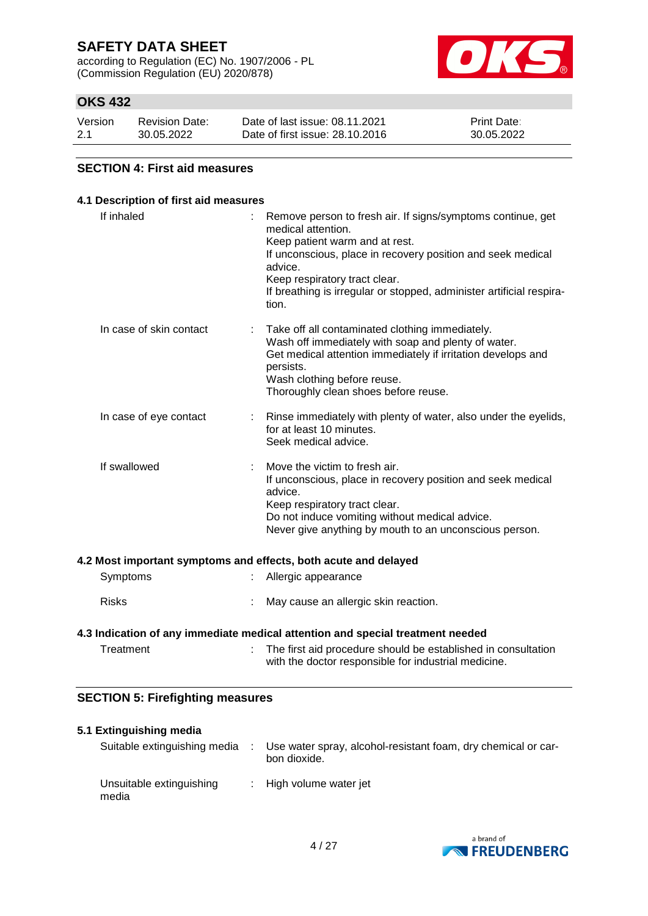according to Regulation (EC) No. 1907/2006 - PL (Commission Regulation (EU) 2020/878)



## **OKS 432**

| Version | <b>Revision Date:</b> | Date of last issue: 08.11.2021  | <b>Print Date:</b> |
|---------|-----------------------|---------------------------------|--------------------|
| 2.1     | 30.05.2022            | Date of first issue: 28.10.2016 | 30.05.2022         |

### **SECTION 4: First aid measures**

# **4.1 Description of first aid measures** If inhaled : Remove person to fresh air. If signs/symptoms continue, get medical attention. Keep patient warm and at rest. If unconscious, place in recovery position and seek medical advice. Keep respiratory tract clear. If breathing is irregular or stopped, administer artificial respiration. In case of skin contact : Take off all contaminated clothing immediately. Wash off immediately with soap and plenty of water. Get medical attention immediately if irritation develops and persists. Wash clothing before reuse. Thoroughly clean shoes before reuse. In case of eye contact : Rinse immediately with plenty of water, also under the eyelids, for at least 10 minutes. Seek medical advice. If swallowed : Move the victim to fresh air. If unconscious, place in recovery position and seek medical advice. Keep respiratory tract clear. Do not induce vomiting without medical advice. Never give anything by mouth to an unconscious person. **4.2 Most important symptoms and effects, both acute and delayed** Symptoms : Allergic appearance Risks : May cause an allergic skin reaction. **4.3 Indication of any immediate medical attention and special treatment needed** Treatment : The first aid procedure should be established in consultation with the doctor responsible for industrial medicine.

## **SECTION 5: Firefighting measures**

| 5.1 Extinguishing media           |                                                                               |
|-----------------------------------|-------------------------------------------------------------------------------|
| Suitable extinguishing media      | Use water spray, alcohol-resistant foam, dry chemical or car-<br>bon dioxide. |
| Unsuitable extinguishing<br>media | : High volume water jet                                                       |

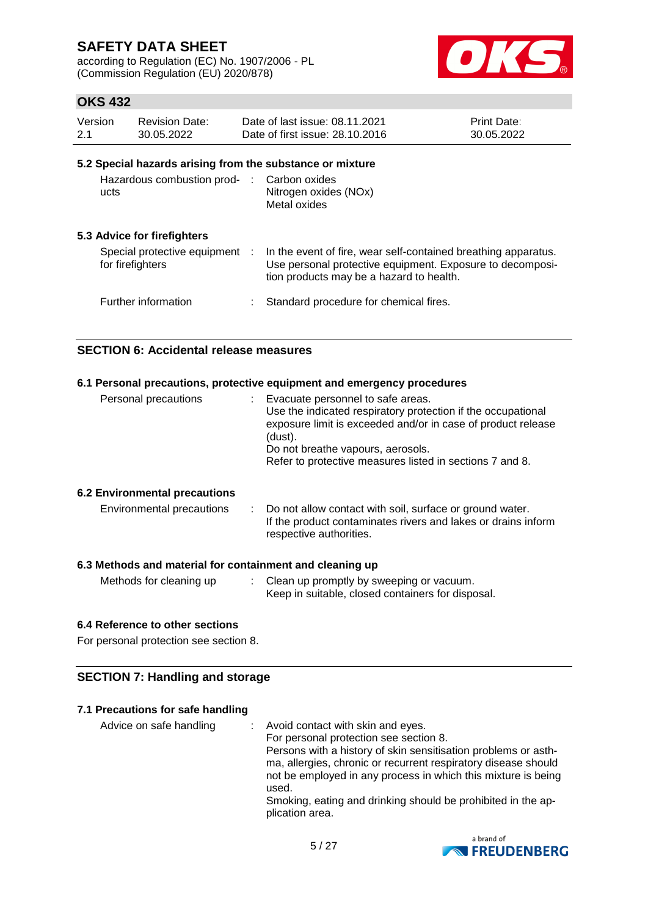according to Regulation (EC) No. 1907/2006 - PL (Commission Regulation (EU) 2020/878)



## **OKS 432**

| Version<br>2.1 | <b>Revision Date:</b><br>30.05.2022                |  | Date of last issue: 08.11.2021<br>Date of first issue: 28.10.2016                                                                                                       | Print Date:<br>30.05.2022 |  |  |
|----------------|----------------------------------------------------|--|-------------------------------------------------------------------------------------------------------------------------------------------------------------------------|---------------------------|--|--|
|                |                                                    |  |                                                                                                                                                                         |                           |  |  |
|                |                                                    |  | 5.2 Special hazards arising from the substance or mixture                                                                                                               |                           |  |  |
| ucts           | Hazardous combustion prod- : Carbon oxides         |  | Nitrogen oxides (NOx)<br>Metal oxides                                                                                                                                   |                           |  |  |
|                | 5.3 Advice for firefighters                        |  |                                                                                                                                                                         |                           |  |  |
|                | Special protective equipment :<br>for firefighters |  | In the event of fire, wear self-contained breathing apparatus.<br>Use personal protective equipment. Exposure to decomposi-<br>tion products may be a hazard to health. |                           |  |  |
|                | Further information                                |  | Standard procedure for chemical fires.                                                                                                                                  |                           |  |  |

### **SECTION 6: Accidental release measures**

#### **6.1 Personal precautions, protective equipment and emergency procedures**

| Personal precautions | Evacuate personnel to safe areas.<br>Use the indicated respiratory protection if the occupational |
|----------------------|---------------------------------------------------------------------------------------------------|
|                      | exposure limit is exceeded and/or in case of product release<br>(dust).                           |
|                      | Do not breathe vapours, aerosols.                                                                 |
|                      | Refer to protective measures listed in sections 7 and 8.                                          |
|                      |                                                                                                   |

#### **6.2 Environmental precautions**

| Environmental precautions | : Do not allow contact with soil, surface or ground water.    |
|---------------------------|---------------------------------------------------------------|
|                           | If the product contaminates rivers and lakes or drains inform |
|                           | respective authorities.                                       |

### **6.3 Methods and material for containment and cleaning up**

| Methods for cleaning up | Clean up promptly by sweeping or vacuum.          |
|-------------------------|---------------------------------------------------|
|                         | Keep in suitable, closed containers for disposal. |

#### **6.4 Reference to other sections**

For personal protection see section 8.

### **SECTION 7: Handling and storage**

#### **7.1 Precautions for safe handling**

Advice on safe handling : Avoid contact with skin and eyes. For personal protection see section 8. Persons with a history of skin sensitisation problems or asthma, allergies, chronic or recurrent respiratory disease should not be employed in any process in which this mixture is being used. Smoking, eating and drinking should be prohibited in the application area.

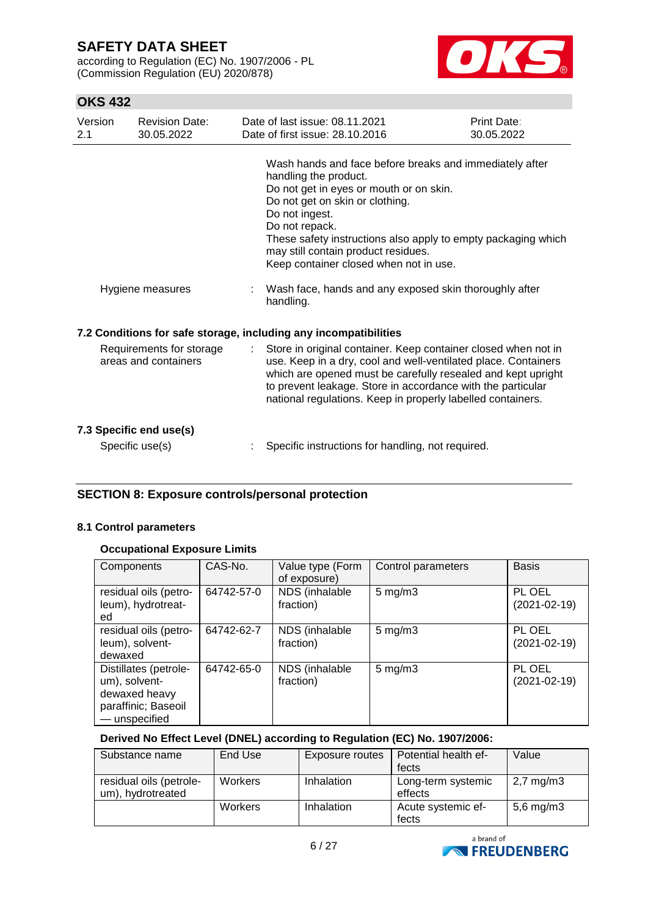according to Regulation (EC) No. 1907/2006 - PL (Commission Regulation (EU) 2020/878)



## **OKS 432**

| Version<br>2.1                                   | <b>Revision Date:</b><br>30.05.2022        |    | Date of last issue: 08.11.2021<br>Date of first issue: 28.10.2016                                                                                                                                                                                                                                                                                                                                                           | Print Date:<br>30.05.2022 |  |  |
|--------------------------------------------------|--------------------------------------------|----|-----------------------------------------------------------------------------------------------------------------------------------------------------------------------------------------------------------------------------------------------------------------------------------------------------------------------------------------------------------------------------------------------------------------------------|---------------------------|--|--|
| Hygiene measures                                 |                                            |    | Wash hands and face before breaks and immediately after<br>handling the product.<br>Do not get in eyes or mouth or on skin.<br>Do not get on skin or clothing.<br>Do not ingest.<br>Do not repack.<br>These safety instructions also apply to empty packaging which<br>may still contain product residues.<br>Keep container closed when not in use.<br>Wash face, hands and any exposed skin thoroughly after<br>handling. |                           |  |  |
|                                                  |                                            |    | 7.2 Conditions for safe storage, including any incompatibilities                                                                                                                                                                                                                                                                                                                                                            |                           |  |  |
| Requirements for storage<br>areas and containers |                                            | ÷. | Store in original container. Keep container closed when not in<br>use. Keep in a dry, cool and well-ventilated place. Containers<br>which are opened must be carefully resealed and kept upright<br>to prevent leakage. Store in accordance with the particular<br>national regulations. Keep in properly labelled containers.                                                                                              |                           |  |  |
|                                                  | 7.3 Specific end use(s)<br>Specific use(s) |    | Specific instructions for handling, not required.                                                                                                                                                                                                                                                                                                                                                                           |                           |  |  |

## **SECTION 8: Exposure controls/personal protection**

### **8.1 Control parameters**

### **Occupational Exposure Limits**

| Components                                                                                      | CAS-No.    | Value type (Form<br>of exposure) | Control parameters | <b>Basis</b>                 |
|-------------------------------------------------------------------------------------------------|------------|----------------------------------|--------------------|------------------------------|
| residual oils (petro-<br>leum), hydrotreat-<br>ed                                               | 64742-57-0 | NDS (inhalable<br>fraction)      | $5 \text{ mg/m}$ 3 | PL OEL<br>$(2021 - 02 - 19)$ |
| residual oils (petro-<br>leum), solvent-<br>dewaxed                                             | 64742-62-7 | NDS (inhalable<br>fraction)      | $5 \text{ mg/m}$ 3 | PL OEL<br>$(2021 - 02 - 19)$ |
| Distillates (petrole-<br>um), solvent-<br>dewaxed heavy<br>paraffinic; Baseoil<br>— unspecified | 64742-65-0 | NDS (inhalable<br>fraction)      | $5 \text{ mg/m}$ 3 | PL OEL<br>$(2021 - 02 - 19)$ |

### **Derived No Effect Level (DNEL) according to Regulation (EC) No. 1907/2006:**

| Substance name                               | End Use        | Exposure routes | Potential health ef-          | Value                  |
|----------------------------------------------|----------------|-----------------|-------------------------------|------------------------|
|                                              |                |                 | fects                         |                        |
| residual oils (petrole-<br>um), hydrotreated | <b>Workers</b> | Inhalation      | Long-term systemic<br>effects | $2,7 \, \text{mg/m}$ 3 |
|                                              | <b>Workers</b> | Inhalation      | Acute systemic ef-<br>fects   | $5,6$ mg/m $3$         |

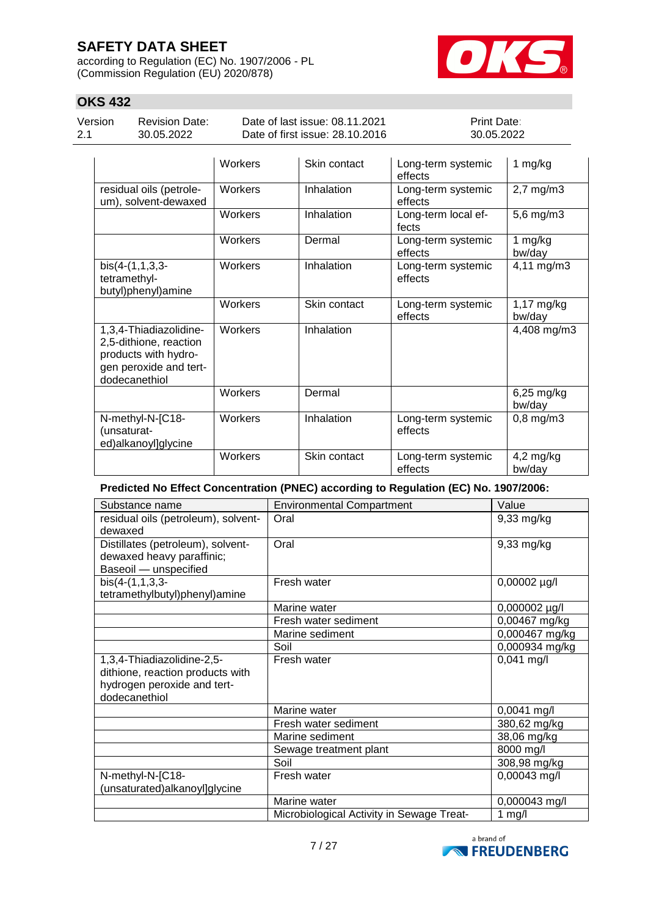according to Regulation (EC) No. 1907/2006 - PL (Commission Regulation (EU) 2020/878)



## **OKS 432**

| Version |  |
|---------|--|
| 21      |  |

Revision Date: 30.05.2022

Date of last issue: 08.11.2021 Date of first issue: 28.10.2016 Print Date: 30.05.2022

|                                                                                                                     | Workers | Skin contact | Long-term systemic<br>effects | 1 $mg/kg$              |
|---------------------------------------------------------------------------------------------------------------------|---------|--------------|-------------------------------|------------------------|
| residual oils (petrole-<br>um), solvent-dewaxed                                                                     | Workers | Inhalation   | Long-term systemic<br>effects | 2,7 mg/m3              |
|                                                                                                                     | Workers | Inhalation   | Long-term local ef-<br>fects  | $5,6$ mg/m $3$         |
|                                                                                                                     | Workers | Dermal       | Long-term systemic<br>effects | 1 mg/kg<br>bw/day      |
| $bis(4-(1,1,3,3-$<br>tetramethyl-<br>butyl)phenyl)amine                                                             | Workers | Inhalation   | Long-term systemic<br>effects | $4,11 \, \text{mg/m3}$ |
|                                                                                                                     | Workers | Skin contact | Long-term systemic<br>effects | 1,17 mg/kg<br>bw/day   |
| 1,3,4-Thiadiazolidine-<br>2,5-dithione, reaction<br>products with hydro-<br>gen peroxide and tert-<br>dodecanethiol | Workers | Inhalation   |                               | 4,408 mg/m3            |
|                                                                                                                     | Workers | Dermal       |                               | 6,25 mg/kg<br>bw/day   |
| N-methyl-N-[C18-<br>(unsaturat-<br>ed)alkanoyl]glycine                                                              | Workers | Inhalation   | Long-term systemic<br>effects | $0,8$ mg/m $3$         |
|                                                                                                                     | Workers | Skin contact | Long-term systemic<br>effects | $4,2$ mg/kg<br>bw/day  |

**Predicted No Effect Concentration (PNEC) according to Regulation (EC) No. 1907/2006:**

| Substance name                      | <b>Environmental Compartment</b>          | Value             |
|-------------------------------------|-------------------------------------------|-------------------|
| residual oils (petroleum), solvent- | Oral                                      | 9,33 mg/kg        |
| dewaxed                             |                                           |                   |
| Distillates (petroleum), solvent-   | Oral                                      | 9,33 mg/kg        |
| dewaxed heavy paraffinic;           |                                           |                   |
| Baseoil - unspecified               |                                           |                   |
| $bis(4-(1,1,3,3-$                   | Fresh water                               | $0,00002 \mu g/l$ |
| tetramethylbutyl)phenyl)amine       |                                           |                   |
|                                     | Marine water                              | 0,000002 µg/l     |
|                                     | Fresh water sediment                      | 0,00467 mg/kg     |
|                                     | Marine sediment                           | 0,000467 mg/kg    |
|                                     | Soil                                      | 0,000934 mg/kg    |
| 1,3,4-Thiadiazolidine-2,5-          | Fresh water                               | $0,041$ mg/l      |
| dithione, reaction products with    |                                           |                   |
| hydrogen peroxide and tert-         |                                           |                   |
| dodecanethiol                       |                                           |                   |
|                                     | Marine water                              | 0,0041 mg/l       |
|                                     | Fresh water sediment                      | 380,62 mg/kg      |
|                                     | Marine sediment                           | 38,06 mg/kg       |
|                                     | Sewage treatment plant                    | 8000 mg/l         |
|                                     | Soil                                      | 308,98 mg/kg      |
| N-methyl-N-[C18-                    | Fresh water                               | 0,00043 mg/l      |
| (unsaturated)alkanoyl]glycine       |                                           |                   |
|                                     | Marine water                              | 0,000043 mg/l     |
|                                     | Microbiological Activity in Sewage Treat- | $1$ mg/l          |

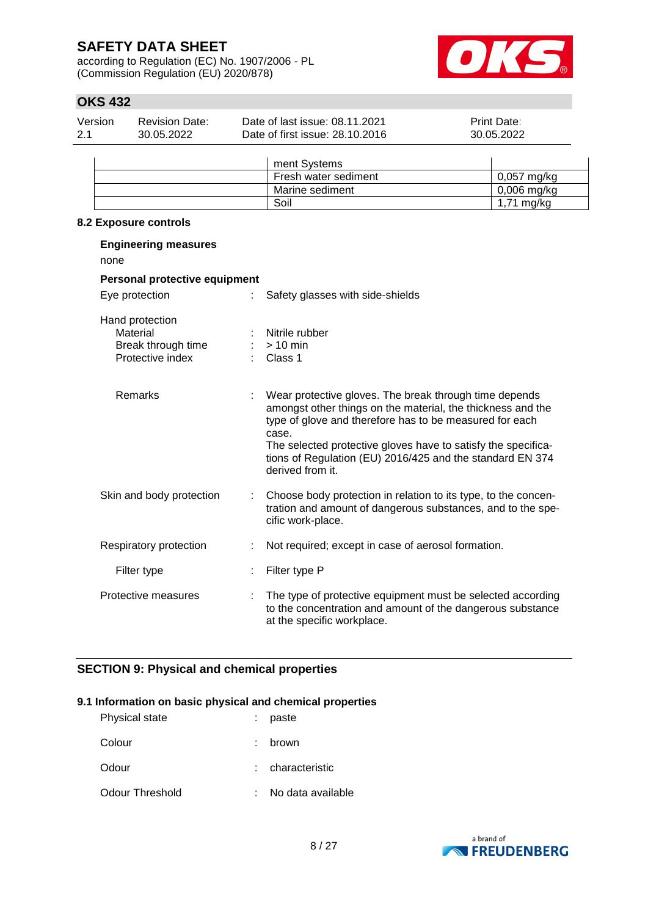according to Regulation (EC) No. 1907/2006 - PL (Commission Regulation (EU) 2020/878)



## **OKS 432**

| Version | <b>Revision Date:</b> | Date of last issue: 08.11.2021  | <b>Print Date:</b> |
|---------|-----------------------|---------------------------------|--------------------|
| 2.1     | 30.05.2022            | Date of first issue: 28.10.2016 | 30.05.2022         |

| ment Systems         |               |
|----------------------|---------------|
| Fresh water sediment | $0,057$ mg/kg |
| Marine sediment      | 0,006 mg/kg   |
| Soil                 | 1,71 mg/kg    |

### **8.2 Exposure controls**

| <b>Engineering measures</b><br>none                                   |    |                                                                                                                                                                                                                                                                                                                                             |  |  |  |  |  |
|-----------------------------------------------------------------------|----|---------------------------------------------------------------------------------------------------------------------------------------------------------------------------------------------------------------------------------------------------------------------------------------------------------------------------------------------|--|--|--|--|--|
| Personal protective equipment                                         |    |                                                                                                                                                                                                                                                                                                                                             |  |  |  |  |  |
| Eye protection                                                        | t. | Safety glasses with side-shields                                                                                                                                                                                                                                                                                                            |  |  |  |  |  |
| Hand protection<br>Material<br>Break through time<br>Protective index |    | Nitrile rubber<br>$:$ > 10 min<br>Class 1                                                                                                                                                                                                                                                                                                   |  |  |  |  |  |
| Remarks                                                               |    | Wear protective gloves. The break through time depends<br>amongst other things on the material, the thickness and the<br>type of glove and therefore has to be measured for each<br>case.<br>The selected protective gloves have to satisfy the specifica-<br>tions of Regulation (EU) 2016/425 and the standard EN 374<br>derived from it. |  |  |  |  |  |
| Skin and body protection                                              | t. | Choose body protection in relation to its type, to the concen-<br>tration and amount of dangerous substances, and to the spe-<br>cific work-place.                                                                                                                                                                                          |  |  |  |  |  |
| Respiratory protection                                                |    | Not required; except in case of aerosol formation.                                                                                                                                                                                                                                                                                          |  |  |  |  |  |
| Filter type                                                           |    | Filter type P                                                                                                                                                                                                                                                                                                                               |  |  |  |  |  |
| Protective measures                                                   |    | The type of protective equipment must be selected according<br>to the concentration and amount of the dangerous substance<br>at the specific workplace.                                                                                                                                                                                     |  |  |  |  |  |

### **SECTION 9: Physical and chemical properties**

### **9.1 Information on basic physical and chemical properties**

| <b>Physical state</b> | paste             |
|-----------------------|-------------------|
| Colour                | brown             |
| Odour                 | : characteristic  |
| Odour Threshold       | No data available |

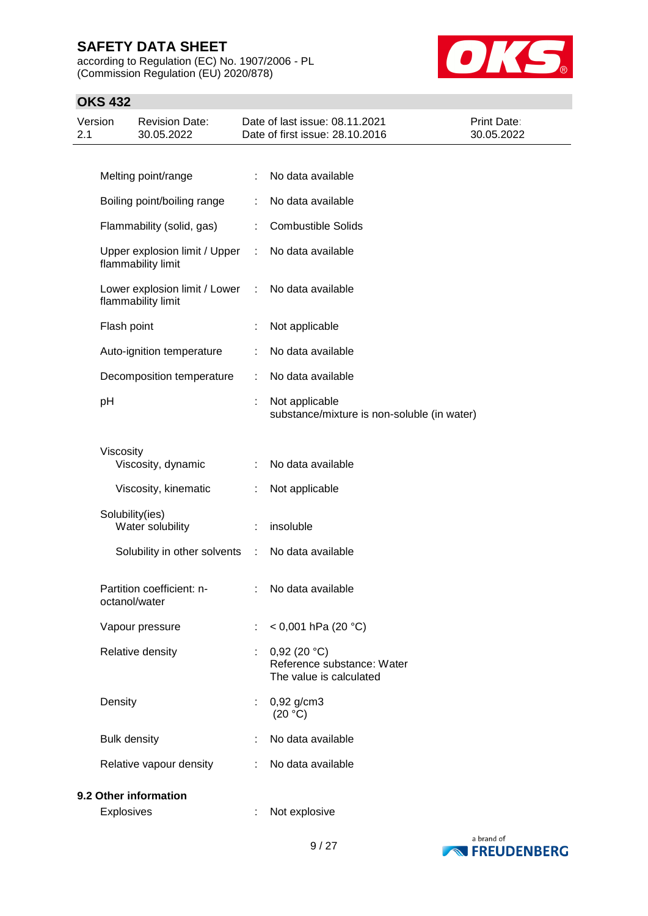according to Regulation (EC) No. 1907/2006 - PL (Commission Regulation (EU) 2020/878)



| 2.1 | Version               | <b>Revision Date:</b><br>30.05.2022                 |                      | Date of last issue: 08.11.2021<br>Date of first issue: 28,10,2016    | Print Date:<br>30.05.2022 |  |
|-----|-----------------------|-----------------------------------------------------|----------------------|----------------------------------------------------------------------|---------------------------|--|
|     |                       |                                                     |                      |                                                                      |                           |  |
|     |                       | Melting point/range                                 | ÷                    | No data available                                                    |                           |  |
|     |                       | Boiling point/boiling range                         | ÷                    | No data available                                                    |                           |  |
|     |                       | Flammability (solid, gas)                           | t                    | <b>Combustible Solids</b>                                            |                           |  |
|     |                       | Upper explosion limit / Upper<br>flammability limit | ÷                    | No data available                                                    |                           |  |
|     |                       | Lower explosion limit / Lower<br>flammability limit | ÷                    | No data available                                                    |                           |  |
|     | Flash point           |                                                     |                      | Not applicable                                                       |                           |  |
|     |                       | Auto-ignition temperature                           | ÷                    | No data available                                                    |                           |  |
|     |                       | Decomposition temperature                           | ÷                    | No data available                                                    |                           |  |
|     | pH                    |                                                     |                      | Not applicable<br>substance/mixture is non-soluble (in water)        |                           |  |
|     | Viscosity             |                                                     |                      |                                                                      |                           |  |
|     |                       | Viscosity, dynamic                                  |                      | No data available                                                    |                           |  |
|     |                       | Viscosity, kinematic                                | t                    | Not applicable                                                       |                           |  |
|     |                       | Solubility(ies)<br>Water solubility                 | ÷                    | insoluble                                                            |                           |  |
|     |                       | Solubility in other solvents                        | $\ddot{\phantom{a}}$ | No data available                                                    |                           |  |
|     |                       | Partition coefficient: n-<br>octanol/water          | ÷                    | No data available                                                    |                           |  |
|     |                       | Vapour pressure                                     | ÷                    | < 0,001 hPa (20 °C)                                                  |                           |  |
|     |                       | Relative density                                    |                      | 0,92(20 °C)<br>Reference substance: Water<br>The value is calculated |                           |  |
|     | Density               |                                                     |                      | 0,92 g/cm3<br>(20 °C)                                                |                           |  |
|     | <b>Bulk density</b>   |                                                     | ÷                    | No data available                                                    |                           |  |
|     |                       | Relative vapour density                             | ÷                    | No data available                                                    |                           |  |
|     | 9.2 Other information |                                                     |                      |                                                                      |                           |  |
|     | Explosives            |                                                     |                      | Not explosive                                                        |                           |  |

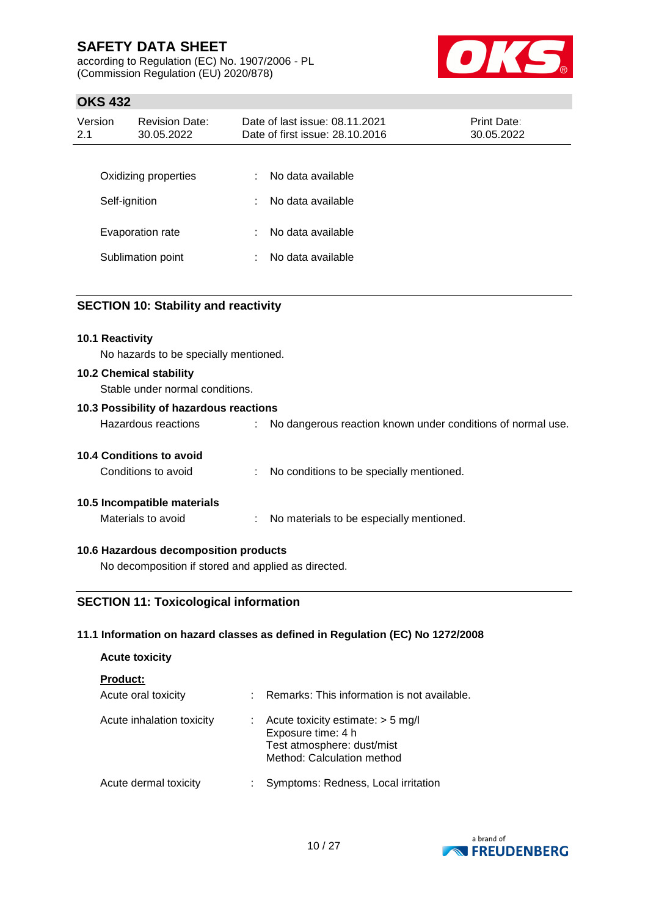according to Regulation (EC) No. 1907/2006 - PL (Commission Regulation (EU) 2020/878)



## **OKS 432**

| Version<br><b>Revision Date:</b><br>2.1<br>30.05.2022 |                   |    | Date of last issue: 08.11.2021<br>Date of first issue: 28.10.2016 | <b>Print Date:</b><br>30.05.2022 |
|-------------------------------------------------------|-------------------|----|-------------------------------------------------------------------|----------------------------------|
|                                                       |                   |    |                                                                   |                                  |
| Oxidizing properties                                  |                   | ÷. | No data available                                                 |                                  |
| Self-ignition                                         |                   | ÷  | No data available                                                 |                                  |
|                                                       | Evaporation rate  | ÷  | No data available                                                 |                                  |
|                                                       | Sublimation point | ÷  | No data available                                                 |                                  |

### **SECTION 10: Stability and reactivity**

#### **10.1 Reactivity**

No hazards to be specially mentioned.

#### **10.2 Chemical stability**

Stable under normal conditions.

## **10.3 Possibility of hazardous reactions**

| Hazardous reactions             | No dangerous reaction known under conditions of normal use. |
|---------------------------------|-------------------------------------------------------------|
| <b>10.4 Conditions to avoid</b> |                                                             |

| Conditions to avoid |  | No conditions to be specially mentioned. |
|---------------------|--|------------------------------------------|
|---------------------|--|------------------------------------------|

### **10.5 Incompatible materials**

Materials to avoid : No materials to be especially mentioned.

### **10.6 Hazardous decomposition products**

No decomposition if stored and applied as directed.

## **SECTION 11: Toxicological information**

### **11.1 Information on hazard classes as defined in Regulation (EC) No 1272/2008**

| <b>Acute toxicity</b>                  |                                                                                                                       |
|----------------------------------------|-----------------------------------------------------------------------------------------------------------------------|
| <b>Product:</b><br>Acute oral toxicity | Remarks: This information is not available.                                                                           |
| Acute inhalation toxicity              | Acute toxicity estimate: $>$ 5 mg/l<br>Exposure time: 4 h<br>Test atmosphere: dust/mist<br>Method: Calculation method |
| Acute dermal toxicity                  | Symptoms: Redness, Local irritation                                                                                   |

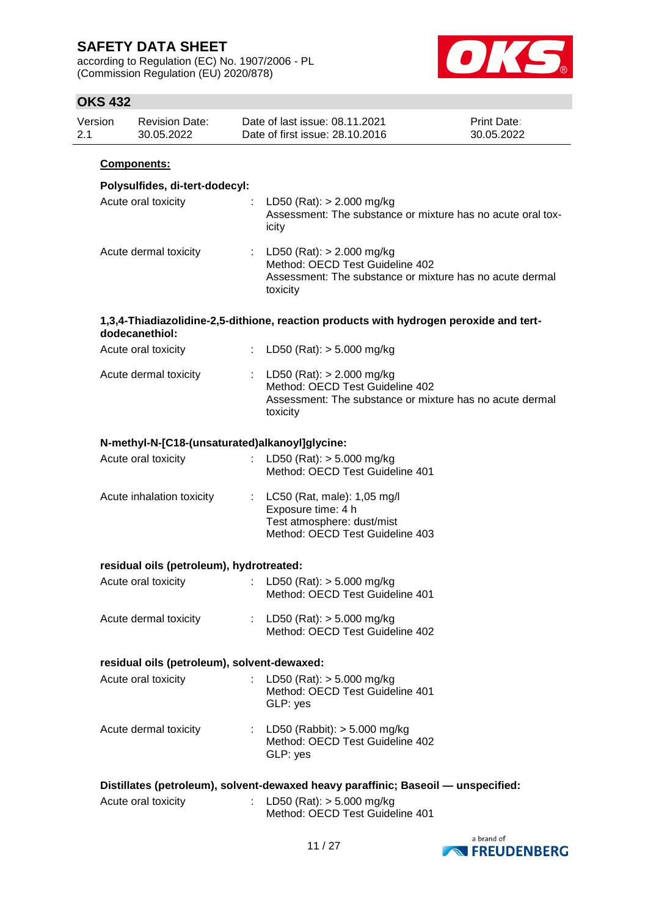according to Regulation (EC) No. 1907/2006 - PL (Commission Regulation (EU) 2020/878)



## **OKS 432**

| Version | <b>Revision Date:</b> | Date of last issue: 08.11.2021  | <b>Print Date:</b> |
|---------|-----------------------|---------------------------------|--------------------|
| 2.1     | 30.05.2022            | Date of first issue: 28.10.2016 | 30.05.2022         |

#### **Components:**

### **Polysulfides, di-tert-dodecyl:**

| Acute oral toxicity   |    | LD50 (Rat): $> 2.000$ mg/kg<br>Assessment: The substance or mixture has no acute oral tox-<br>icity                                    |
|-----------------------|----|----------------------------------------------------------------------------------------------------------------------------------------|
| Acute dermal toxicity | t. | LD50 (Rat): $> 2.000$ mg/kg<br>Method: OECD Test Guideline 402<br>Assessment: The substance or mixture has no acute dermal<br>toxicity |

#### **1,3,4-Thiadiazolidine-2,5-dithione, reaction products with hydrogen peroxide and tertdodecanethiol:**

| Acute oral toxicity   | : LD50 (Rat): $>$ 5.000 mg/kg                                                                                                            |
|-----------------------|------------------------------------------------------------------------------------------------------------------------------------------|
| Acute dermal toxicity | : LD50 (Rat): $> 2.000$ mg/kg<br>Method: OECD Test Guideline 402<br>Assessment: The substance or mixture has no acute dermal<br>toxicity |

#### **N-methyl-N-[C18-(unsaturated)alkanoyl]glycine:**

| Acute oral toxicity       | : LD50 (Rat): $> 5.000$ mg/kg<br>Method: OECD Test Guideline 401                                                     |
|---------------------------|----------------------------------------------------------------------------------------------------------------------|
| Acute inhalation toxicity | : LC50 (Rat, male): 1,05 mg/l<br>Exposure time: 4 h<br>Test atmosphere: dust/mist<br>Method: OECD Test Guideline 403 |

### **residual oils (petroleum), hydrotreated:**

| Acute oral toxicity | : LD50 (Rat): $>$ 5.000 mg/kg   |
|---------------------|---------------------------------|
|                     | Method: OECD Test Guideline 401 |
|                     |                                 |

Acute dermal toxicity : LD50 (Rat): > 5.000 mg/kg Method: OECD Test Guideline 402

### **residual oils (petroleum), solvent-dewaxed:**

| Acute oral toxicity | : LD50 (Rat): $>$ 5.000 mg/kg<br>Method: OECD Test Guideline 401<br>GLP: yes |
|---------------------|------------------------------------------------------------------------------|
| .                   | .                                                                            |

#### Acute dermal toxicity : LD50 (Rabbit): > 5.000 mg/kg Method: OECD Test Guideline 402 GLP: yes

| Distillates (petroleum), solvent-dewaxed heavy paraffinic; Baseoil — unspecified: |
|-----------------------------------------------------------------------------------|
| : LD50 (Rat): $>$ 5.000 mg/kg<br>Method: OECD Test Guideline 401                  |
|                                                                                   |

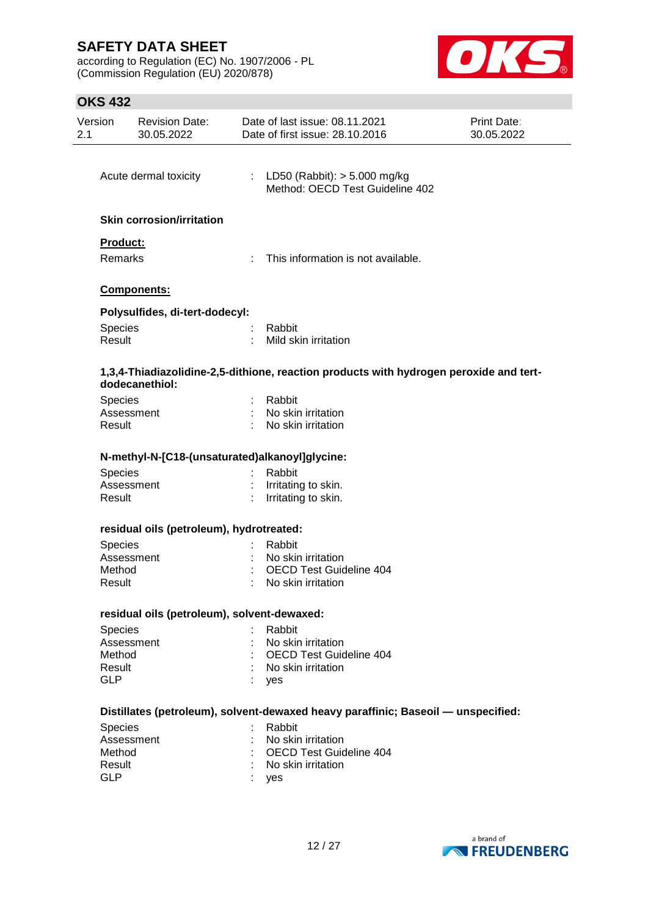according to Regulation (EC) No. 1907/2006 - PL (Commission Regulation (EU) 2020/878)



| Version              | Revision Date:<br>30.05.2022                   | Date of last issue: 08.11.2021<br>Date of first issue: 28.10.2016                      | Print Date:<br>30.05.2022 |
|----------------------|------------------------------------------------|----------------------------------------------------------------------------------------|---------------------------|
|                      |                                                |                                                                                        |                           |
|                      | Acute dermal toxicity                          | : LD50 (Rabbit): $>$ 5.000 mg/kg<br>Method: OECD Test Guideline 402                    |                           |
|                      | <b>Skin corrosion/irritation</b>               |                                                                                        |                           |
| Product:             |                                                |                                                                                        |                           |
| Remarks              |                                                | This information is not available.                                                     |                           |
|                      | Components:                                    |                                                                                        |                           |
|                      | Polysulfides, di-tert-dodecyl:                 |                                                                                        |                           |
| <b>Species</b>       |                                                | Rabbit                                                                                 |                           |
| Result               |                                                | Mild skin irritation                                                                   |                           |
|                      | dodecanethiol:                                 | 1,3,4-Thiadiazolidine-2,5-dithione, reaction products with hydrogen peroxide and tert- |                           |
| <b>Species</b>       |                                                | Rabbit                                                                                 |                           |
|                      | Assessment                                     | : No skin irritation                                                                   |                           |
| Result               |                                                | No skin irritation                                                                     |                           |
|                      | N-methyl-N-[C18-(unsaturated)alkanoyl]glycine: |                                                                                        |                           |
| Species              |                                                | Rabbit                                                                                 |                           |
|                      | Assessment                                     | Irritating to skin.                                                                    |                           |
| Result               |                                                | Irritating to skin.                                                                    |                           |
|                      | residual oils (petroleum), hydrotreated:       |                                                                                        |                           |
| <b>Species</b>       |                                                | Rabbit                                                                                 |                           |
|                      | Assessment                                     | No skin irritation                                                                     |                           |
| Method               |                                                | <b>OECD Test Guideline 404</b>                                                         |                           |
| Result               |                                                | No skin irritation                                                                     |                           |
|                      | residual oils (petroleum), solvent-dewaxed:    |                                                                                        |                           |
| <b>Species</b>       |                                                | Rabbit                                                                                 |                           |
|                      | Assessment                                     | No skin irritation                                                                     |                           |
|                      |                                                | <b>OECD Test Guideline 404</b>                                                         |                           |
| Method               |                                                |                                                                                        |                           |
| Result               |                                                | No skin irritation                                                                     |                           |
| <b>GLP</b>           |                                                | yes                                                                                    |                           |
|                      |                                                | Distillates (petroleum), solvent-dewaxed heavy paraffinic; Baseoil - unspecified:      |                           |
| Species              |                                                | Rabbit                                                                                 |                           |
|                      | Assessment                                     | No skin irritation                                                                     |                           |
| Method               |                                                | <b>OECD Test Guideline 404</b>                                                         |                           |
| Result<br><b>GLP</b> |                                                | No skin irritation<br>: yes                                                            |                           |

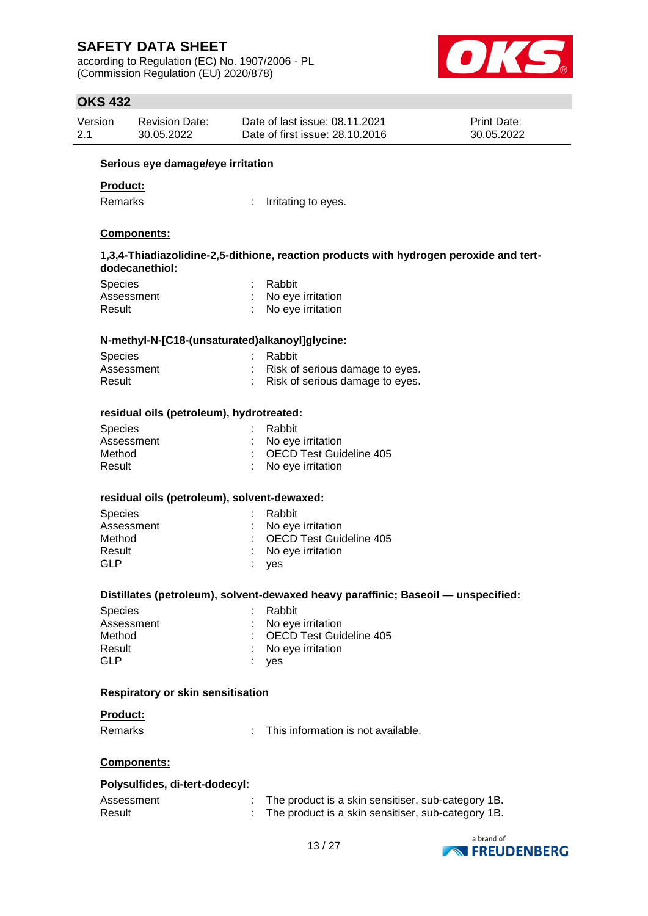according to Regulation (EC) No. 1907/2006 - PL (Commission Regulation (EU) 2020/878)



## **OKS 432**

| Version | <b>Revision Date:</b> | Date of last issue: 08.11.2021  | <b>Print Date:</b> |
|---------|-----------------------|---------------------------------|--------------------|
| 2.1     | 30.05.2022            | Date of first issue: 28.10.2016 | 30.05.2022         |

#### **Serious eye damage/eye irritation**

#### **Product:**

Remarks : Irritating to eyes.

### **Components:**

#### **1,3,4-Thiadiazolidine-2,5-dithione, reaction products with hydrogen peroxide and tertdodecanethiol:**

| <b>Species</b> | : Rabbit            |
|----------------|---------------------|
| Assessment     | : No eye irritation |
| Result         | No eye irritation   |

#### **N-methyl-N-[C18-(unsaturated)alkanoyl]glycine:**

| <b>Species</b> | : Rabbit                          |
|----------------|-----------------------------------|
| Assessment     | : Risk of serious damage to eyes. |
| Result         | : Risk of serious damage to eyes. |

#### **residual oils (petroleum), hydrotreated:**

| <b>Species</b> | : Rabbit                  |
|----------------|---------------------------|
| Assessment     | : No eye irritation       |
| Method         | : OECD Test Guideline 405 |
| Result         | : No eye irritation       |

#### **residual oils (petroleum), solvent-dewaxed:**

| <b>Species</b> | : Rabbit                       |
|----------------|--------------------------------|
| Assessment     | $\therefore$ No eye irritation |
| Method         | : OECD Test Guideline 405      |
| Result         | : No eye irritation            |
| <b>GLP</b>     | : ves                          |
|                |                                |

#### **Distillates (petroleum), solvent-dewaxed heavy paraffinic; Baseoil — unspecified:**

| <b>Species</b> | : Rabbit                  |
|----------------|---------------------------|
| Assessment     | : No eye irritation       |
| Method         | : OECD Test Guideline 405 |
| Result         | : No eye irritation       |
| GLP            | : yes                     |

#### **Respiratory or skin sensitisation**

#### **Product:**

Remarks : This information is not available.

#### **Components:**

#### **Polysulfides, di-tert-dodecyl:**

| Assessment | The product is a skin sensitiser, sub-category 1B. |
|------------|----------------------------------------------------|
| Result     | The product is a skin sensitiser, sub-category 1B. |

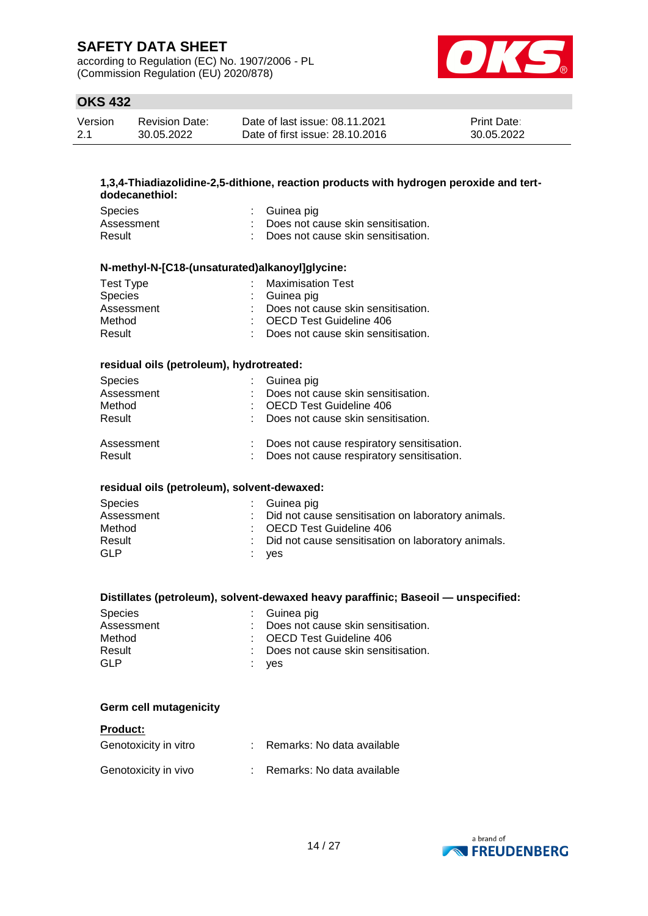according to Regulation (EC) No. 1907/2006 - PL (Commission Regulation (EU) 2020/878)



| Version | <b>Revision Date:</b> | Date of last issue: 08.11.2021  | <b>Print Date:</b> |
|---------|-----------------------|---------------------------------|--------------------|
| 2.1     | 30.05.2022            | Date of first issue: 28.10.2016 | 30.05.2022         |

| dodecanethiol:                                 | 1,3,4-Thiadiazolidine-2,5-dithione, reaction products with hydrogen peroxide and tert- |
|------------------------------------------------|----------------------------------------------------------------------------------------|
| <b>Species</b>                                 | Guinea pig                                                                             |
| Assessment                                     | : Does not cause skin sensitisation.                                                   |
| Result                                         | Does not cause skin sensitisation.                                                     |
|                                                |                                                                                        |
| N-methyl-N-[C18-(unsaturated)alkanoyl]glycine: |                                                                                        |
| <b>Test Type</b>                               | <b>Maximisation Test</b>                                                               |
| Species                                        | Guinea pig                                                                             |
| Assessment                                     | Does not cause skin sensitisation.                                                     |
| Method                                         | <b>OECD Test Guideline 406</b>                                                         |
| Result                                         | Does not cause skin sensitisation.                                                     |
|                                                |                                                                                        |
| residual oils (petroleum), hydrotreated:       |                                                                                        |
| Species                                        | Guinea pig                                                                             |
| Assessment                                     | Does not cause skin sensitisation.                                                     |
| Method                                         | <b>OECD Test Guideline 406</b>                                                         |
| Result                                         | Does not cause skin sensitisation.                                                     |
|                                                |                                                                                        |
| Assessment                                     | ÷<br>Does not cause respiratory sensitisation.                                         |
| Result                                         | Does not cause respiratory sensitisation.                                              |
|                                                |                                                                                        |
| residual oils (petroleum), solvent-dewaxed:    |                                                                                        |
| Species                                        | Guinea pig                                                                             |
| Assessment                                     | Did not cause sensitisation on laboratory animals.                                     |
| Method                                         | <b>OECD Test Guideline 406</b>                                                         |
| Result                                         | Did not cause sensitisation on laboratory animals.                                     |
| <b>GLP</b>                                     | yes                                                                                    |
|                                                |                                                                                        |
|                                                |                                                                                        |
|                                                | Distillates (petroleum), solvent-dewaxed heavy paraffinic; Baseoil - unspecified:      |
| <b>Species</b>                                 | Guinea pig                                                                             |
| Assessment                                     | Does not cause skin sensitisation.                                                     |
| Method                                         | <b>OECD Test Guideline 406</b>                                                         |
| Result                                         | Does not cause skin sensitisation.                                                     |
| <b>GLP</b>                                     |                                                                                        |
|                                                | yes                                                                                    |
| <b>Germ cell mutagenicity</b>                  |                                                                                        |
|                                                |                                                                                        |
| Product:                                       |                                                                                        |
| Genotoxicity in vitro                          | Remarks: No data available                                                             |

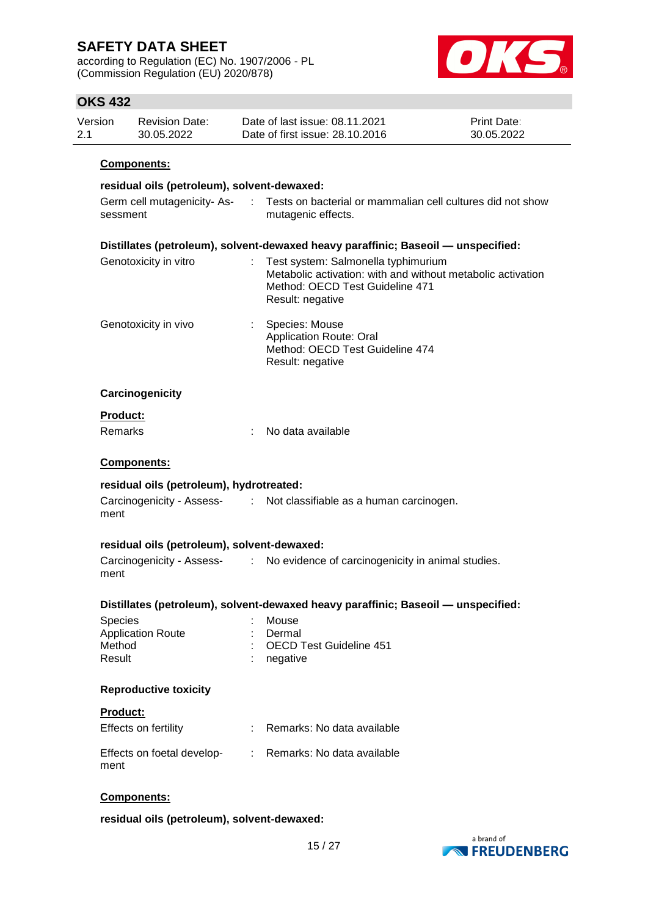according to Regulation (EC) No. 1907/2006 - PL (Commission Regulation (EU) 2020/878)



## **OKS 432**

| Version | <b>Revision Date:</b> | Date of last issue: 08.11.2021  | <b>Print Date:</b> |
|---------|-----------------------|---------------------------------|--------------------|
| 2.1     | 30.05.2022            | Date of first issue: 28.10.2016 | 30.05.2022         |
|         |                       |                                 |                    |

### **Components:**

| residual oils (petroleum), solvent-dewaxed: |    |                                                                                                                                                           |  |  |  |
|---------------------------------------------|----|-----------------------------------------------------------------------------------------------------------------------------------------------------------|--|--|--|
| Germ cell mutagenicity- As- :<br>sessment   |    | Tests on bacterial or mammalian cell cultures did not show<br>mutagenic effects.                                                                          |  |  |  |
|                                             |    | Distillates (petroleum), solvent-dewaxed heavy paraffinic; Baseoil - unspecified:                                                                         |  |  |  |
| Genotoxicity in vitro                       |    | Test system: Salmonella typhimurium<br>Metabolic activation: with and without metabolic activation<br>Method: OECD Test Guideline 471<br>Result: negative |  |  |  |
| Genotoxicity in vivo                        | t. | Species: Mouse<br><b>Application Route: Oral</b><br>Method: OECD Test Guideline 474<br>Result: negative                                                   |  |  |  |
| Carcinogenicity                             |    |                                                                                                                                                           |  |  |  |
| <b>Product:</b>                             |    |                                                                                                                                                           |  |  |  |
| Remarks                                     |    | No data available                                                                                                                                         |  |  |  |
| <b>Components:</b>                          |    |                                                                                                                                                           |  |  |  |
| residual oils (petroleum), hydrotreated:    |    |                                                                                                                                                           |  |  |  |
| ment                                        |    | Carcinogenicity - Assess- : Not classifiable as a human carcinogen.                                                                                       |  |  |  |
| residual oils (petroleum), solvent-dewaxed: |    |                                                                                                                                                           |  |  |  |
| ment                                        |    | Carcinogenicity - Assess- : No evidence of carcinogenicity in animal studies.                                                                             |  |  |  |
|                                             |    | Distillates (petroleum), solvent-dewaxed heavy paraffinic; Baseoil - unspecified:                                                                         |  |  |  |
| Species                                     |    | Mouse                                                                                                                                                     |  |  |  |
| <b>Application Route</b><br>Method          |    | Dermal<br><b>OECD Test Guideline 451</b>                                                                                                                  |  |  |  |
| Result                                      |    | negative                                                                                                                                                  |  |  |  |
| <b>Reproductive toxicity</b>                |    |                                                                                                                                                           |  |  |  |
| Product:                                    |    |                                                                                                                                                           |  |  |  |
| Effects on fertility                        |    | Remarks: No data available                                                                                                                                |  |  |  |
| Effects on foetal develop-<br>ment          |    | Remarks: No data available                                                                                                                                |  |  |  |
| Components:                                 |    |                                                                                                                                                           |  |  |  |

**residual oils (petroleum), solvent-dewaxed:**

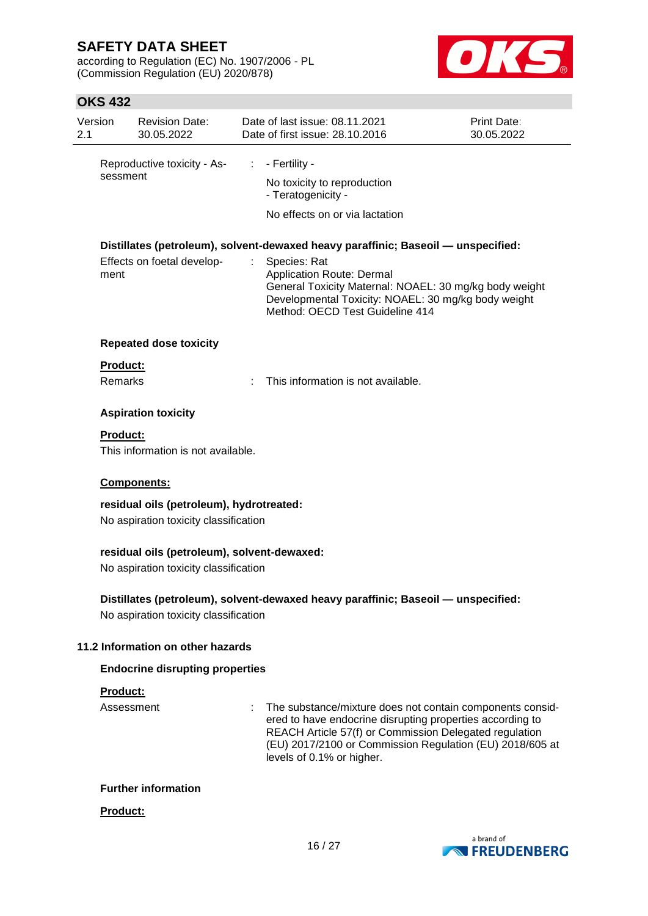according to Regulation (EC) No. 1907/2006 - PL (Commission Regulation (EU) 2020/878)



| Version<br>2.1 |                                                                                   | <b>Revision Date:</b><br>30.05.2022                                                  |   | Date of last issue: 08.11.2021<br>Date of first issue: 28.10.2016                                                                                                                                                                                                         | Print Date:<br>30.05.2022 |  |
|----------------|-----------------------------------------------------------------------------------|--------------------------------------------------------------------------------------|---|---------------------------------------------------------------------------------------------------------------------------------------------------------------------------------------------------------------------------------------------------------------------------|---------------------------|--|
|                | sessment                                                                          | Reproductive toxicity - As-                                                          | ÷ | - Fertility -<br>No toxicity to reproduction<br>- Teratogenicity -<br>No effects on or via lactation                                                                                                                                                                      |                           |  |
|                |                                                                                   |                                                                                      |   | Distillates (petroleum), solvent-dewaxed heavy paraffinic; Baseoil — unspecified:                                                                                                                                                                                         |                           |  |
|                | ment                                                                              | Effects on foetal develop-                                                           | ÷ | Species: Rat<br><b>Application Route: Dermal</b><br>General Toxicity Maternal: NOAEL: 30 mg/kg body weight<br>Developmental Toxicity: NOAEL: 30 mg/kg body weight<br>Method: OECD Test Guideline 414                                                                      |                           |  |
|                |                                                                                   | <b>Repeated dose toxicity</b>                                                        |   |                                                                                                                                                                                                                                                                           |                           |  |
|                | <b>Product:</b><br>Remarks                                                        |                                                                                      |   | This information is not available.                                                                                                                                                                                                                                        |                           |  |
|                |                                                                                   | <b>Aspiration toxicity</b>                                                           |   |                                                                                                                                                                                                                                                                           |                           |  |
|                | <b>Product:</b>                                                                   | This information is not available.                                                   |   |                                                                                                                                                                                                                                                                           |                           |  |
|                | <b>Components:</b>                                                                |                                                                                      |   |                                                                                                                                                                                                                                                                           |                           |  |
|                | residual oils (petroleum), hydrotreated:<br>No aspiration toxicity classification |                                                                                      |   |                                                                                                                                                                                                                                                                           |                           |  |
|                |                                                                                   | residual oils (petroleum), solvent-dewaxed:<br>No aspiration toxicity classification |   |                                                                                                                                                                                                                                                                           |                           |  |
|                |                                                                                   | No aspiration toxicity classification                                                |   | Distillates (petroleum), solvent-dewaxed heavy paraffinic; Baseoil - unspecified:                                                                                                                                                                                         |                           |  |
|                |                                                                                   | 11.2 Information on other hazards                                                    |   |                                                                                                                                                                                                                                                                           |                           |  |
|                |                                                                                   | <b>Endocrine disrupting properties</b>                                               |   |                                                                                                                                                                                                                                                                           |                           |  |
|                | Product:                                                                          |                                                                                      |   |                                                                                                                                                                                                                                                                           |                           |  |
|                | Assessment                                                                        |                                                                                      |   | The substance/mixture does not contain components consid-<br>ered to have endocrine disrupting properties according to<br>REACH Article 57(f) or Commission Delegated regulation<br>(EU) 2017/2100 or Commission Regulation (EU) 2018/605 at<br>levels of 0.1% or higher. |                           |  |
|                |                                                                                   | <b>Further information</b>                                                           |   |                                                                                                                                                                                                                                                                           |                           |  |
|                | Product:                                                                          |                                                                                      |   |                                                                                                                                                                                                                                                                           |                           |  |

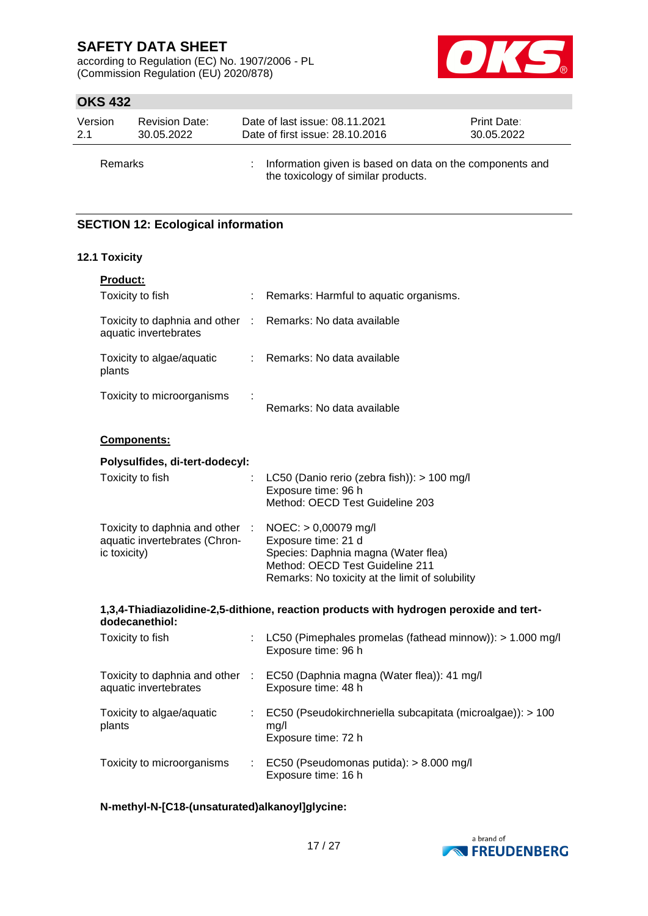according to Regulation (EC) No. 1907/2006 - PL (Commission Regulation (EU) 2020/878)



## **OKS 432**

| Version        | <b>Revision Date:</b> | Date of last issue: 08.11.2021                                                                    | <b>Print Date:</b> |
|----------------|-----------------------|---------------------------------------------------------------------------------------------------|--------------------|
| 2.1            | 30.05.2022            | Date of first issue: 28.10.2016                                                                   | 30.05.2022         |
| <b>Remarks</b> |                       | : Information given is based on data on the components and<br>the toxicology of similar products. |                    |

## **SECTION 12: Ecological information**

### **12.1 Toxicity**

| <b>Product:</b>                                                                |                   |                                                                                                                                                                            |
|--------------------------------------------------------------------------------|-------------------|----------------------------------------------------------------------------------------------------------------------------------------------------------------------------|
| Toxicity to fish                                                               | ÷                 | Remarks: Harmful to aquatic organisms.                                                                                                                                     |
| Toxicity to daphnia and other<br>aquatic invertebrates                         | $\sim$ 100 $\sim$ | Remarks: No data available                                                                                                                                                 |
| Toxicity to algae/aquatic<br>plants                                            |                   | : Remarks: No data available                                                                                                                                               |
| Toxicity to microorganisms                                                     |                   | Remarks: No data available                                                                                                                                                 |
| <b>Components:</b>                                                             |                   |                                                                                                                                                                            |
| Polysulfides, di-tert-dodecyl:                                                 |                   |                                                                                                                                                                            |
| Toxicity to fish                                                               |                   | LC50 (Danio rerio (zebra fish)): > 100 mg/l<br>Exposure time: 96 h<br>Method: OECD Test Guideline 203                                                                      |
| Toxicity to daphnia and other<br>aquatic invertebrates (Chron-<br>ic toxicity) | - 11              | $NOEC:$ > 0,00079 mg/l<br>Exposure time: 21 d<br>Species: Daphnia magna (Water flea)<br>Method: OECD Test Guideline 211<br>Remarks: No toxicity at the limit of solubility |
| dodecanethiol:                                                                 |                   | 1,3,4-Thiadiazolidine-2,5-dithione, reaction products with hydrogen peroxide and tert-                                                                                     |
| Toxicity to fish                                                               |                   | LC50 (Pimephales promelas (fathead minnow)): > 1.000 mg/l<br>Exposure time: 96 h                                                                                           |
| Toxicity to daphnia and other<br>aquatic invertebrates                         | $\sim 100$        | EC50 (Daphnia magna (Water flea)): 41 mg/l<br>Exposure time: 48 h                                                                                                          |
| Toxicity to algae/aquatic<br>plants                                            |                   | EC50 (Pseudokirchneriella subcapitata (microalgae)): > 100<br>mg/l<br>Exposure time: 72 h                                                                                  |
| Toxicity to microorganisms                                                     |                   | EC50 (Pseudomonas putida): > 8.000 mg/l<br>Exposure time: 16 h                                                                                                             |

## **N-methyl-N-[C18-(unsaturated)alkanoyl]glycine:**

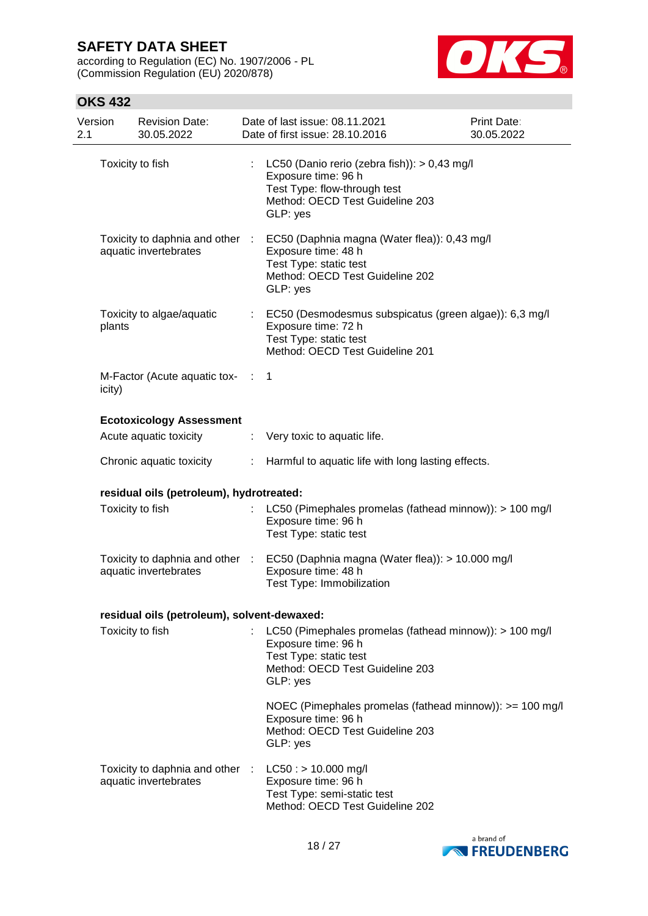according to Regulation (EC) No. 1907/2006 - PL (Commission Regulation (EU) 2020/878)



| Version<br>2.1 |        | <b>Revision Date:</b><br>30.05.2022                      |                               | Date of last issue: 08.11.2021<br>Date of first issue: 28.10.2016                                                                                       | <b>Print Date:</b><br>30.05.2022 |
|----------------|--------|----------------------------------------------------------|-------------------------------|---------------------------------------------------------------------------------------------------------------------------------------------------------|----------------------------------|
|                |        | Toxicity to fish                                         |                               | : LC50 (Danio rerio (zebra fish)): $> 0.43$ mg/l<br>Exposure time: 96 h<br>Test Type: flow-through test<br>Method: OECD Test Guideline 203<br>GLP: yes  |                                  |
|                |        | Toxicity to daphnia and other :<br>aquatic invertebrates |                               | EC50 (Daphnia magna (Water flea)): 0,43 mg/l<br>Exposure time: 48 h<br>Test Type: static test<br>Method: OECD Test Guideline 202<br>GLP: yes            |                                  |
|                | plants | Toxicity to algae/aquatic                                |                               | : EC50 (Desmodesmus subspicatus (green algae)): 6,3 mg/l<br>Exposure time: 72 h<br>Test Type: static test<br>Method: OECD Test Guideline 201            |                                  |
|                | icity) | M-Factor (Acute aquatic tox-                             | $\sim 100$                    | $\mathbf 1$                                                                                                                                             |                                  |
|                |        | <b>Ecotoxicology Assessment</b>                          |                               |                                                                                                                                                         |                                  |
|                |        | Acute aquatic toxicity                                   | $\mathcal{I}^{\mathcal{A}}$ . | Very toxic to aquatic life.                                                                                                                             |                                  |
|                |        | Chronic aquatic toxicity                                 | $\mathbb{Z}^{\times}$         | Harmful to aquatic life with long lasting effects.                                                                                                      |                                  |
|                |        | residual oils (petroleum), hydrotreated:                 |                               |                                                                                                                                                         |                                  |
|                |        | Toxicity to fish                                         |                               | LC50 (Pimephales promelas (fathead minnow)): > 100 mg/l<br>Exposure time: 96 h<br>Test Type: static test                                                |                                  |
|                |        | aquatic invertebrates                                    |                               | Toxicity to daphnia and other : EC50 (Daphnia magna (Water flea)): > 10.000 mg/l<br>Exposure time: 48 h<br>Test Type: Immobilization                    |                                  |
|                |        | residual oils (petroleum), solvent-dewaxed:              |                               |                                                                                                                                                         |                                  |
|                |        | Toxicity to fish                                         |                               | LC50 (Pimephales promelas (fathead minnow)): > 100 mg/l<br>Exposure time: 96 h<br>Test Type: static test<br>Method: OECD Test Guideline 203<br>GLP: yes |                                  |
|                |        |                                                          |                               | NOEC (Pimephales promelas (fathead minnow)): >= 100 mg/l<br>Exposure time: 96 h<br>Method: OECD Test Guideline 203<br>GLP: yes                          |                                  |
|                |        | Toxicity to daphnia and other :<br>aquatic invertebrates |                               | $LC50:$ > 10.000 mg/l<br>Exposure time: 96 h<br>Test Type: semi-static test<br>Method: OECD Test Guideline 202                                          |                                  |

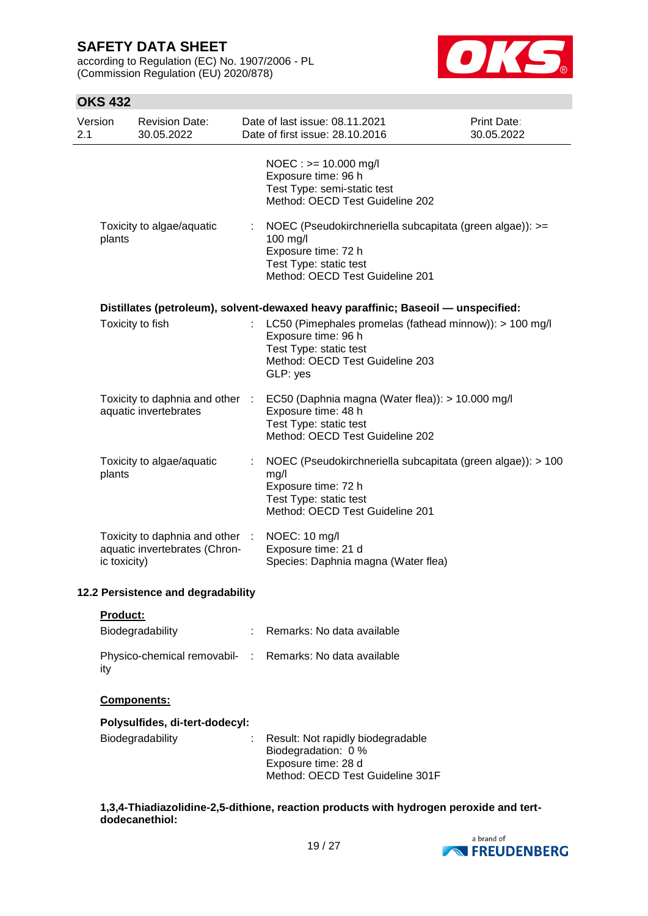according to Regulation (EC) No. 1907/2006 - PL (Commission Regulation (EU) 2020/878)



## **OKS 432**

| Version<br>2.1 |                  | <b>Revision Date:</b><br>30.05.2022                              |    | Date of last issue: 08.11.2021<br>Date of first issue: 28.10.2016                                                                                                                                              | <b>Print Date:</b><br>30.05.2022 |
|----------------|------------------|------------------------------------------------------------------|----|----------------------------------------------------------------------------------------------------------------------------------------------------------------------------------------------------------------|----------------------------------|
|                | plants           | Toxicity to algae/aquatic                                        | t. | $NOEC : = 10.000$ mg/l<br>Exposure time: 96 h<br>Test Type: semi-static test<br>Method: OECD Test Guideline 202<br>NOEC (Pseudokirchneriella subcapitata (green algae)): >=<br>100 mg/l<br>Exposure time: 72 h |                                  |
|                |                  |                                                                  |    | Test Type: static test<br>Method: OECD Test Guideline 201                                                                                                                                                      |                                  |
|                |                  |                                                                  |    | Distillates (petroleum), solvent-dewaxed heavy paraffinic; Baseoil - unspecified:                                                                                                                              |                                  |
|                | Toxicity to fish |                                                                  |    | LC50 (Pimephales promelas (fathead minnow)): > 100 mg/l<br>Exposure time: 96 h<br>Test Type: static test<br>Method: OECD Test Guideline 203<br>GLP: yes                                                        |                                  |
|                |                  | Toxicity to daphnia and other :<br>aquatic invertebrates         |    | EC50 (Daphnia magna (Water flea)): > 10.000 mg/l<br>Exposure time: 48 h<br>Test Type: static test<br>Method: OECD Test Guideline 202                                                                           |                                  |
|                | plants           | Toxicity to algae/aquatic                                        | t. | NOEC (Pseudokirchneriella subcapitata (green algae)): > 100<br>mg/l<br>Exposure time: 72 h<br>Test Type: static test<br>Method: OECD Test Guideline 201                                                        |                                  |
|                | ic toxicity)     | Toxicity to daphnia and other :<br>aquatic invertebrates (Chron- |    | NOEC: 10 mg/l<br>Exposure time: 21 d<br>Species: Daphnia magna (Water flea)                                                                                                                                    |                                  |
|                |                  | 12.2 Persistence and degradability                               |    |                                                                                                                                                                                                                |                                  |
|                | Product:         |                                                                  |    |                                                                                                                                                                                                                |                                  |
|                |                  | Biodegradability                                                 |    | : Remarks: No data available                                                                                                                                                                                   |                                  |
|                | ity              |                                                                  |    | Physico-chemical removabil- : Remarks: No data available                                                                                                                                                       |                                  |
|                |                  | Components:                                                      |    |                                                                                                                                                                                                                |                                  |
|                |                  | Polysulfides, di-tert-dodecyl:                                   |    |                                                                                                                                                                                                                |                                  |
|                |                  | Biodegradability                                                 |    | Result: Not rapidly biodegradable<br>Biodegradation: 0 %<br>Exposure time: 28 d<br>Method: OECD Test Guideline 301F                                                                                            |                                  |

## **1,3,4-Thiadiazolidine-2,5-dithione, reaction products with hydrogen peroxide and tertdodecanethiol:**

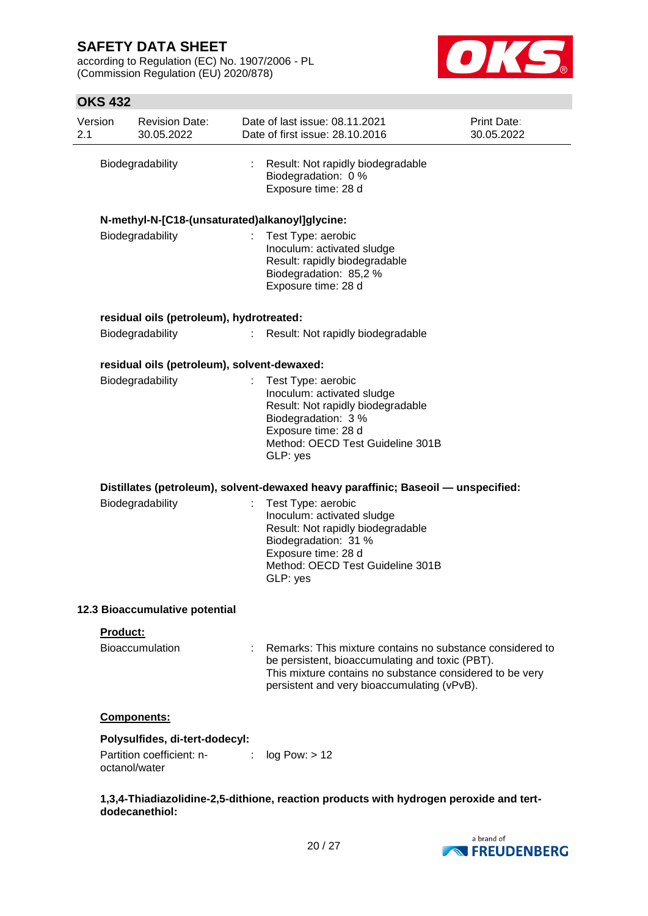according to Regulation (EC) No. 1907/2006 - PL (Commission Regulation (EU) 2020/878)



| Version<br>2.1 |               | <b>Revision Date:</b><br>30.05.2022            |    | Date of last issue: 08.11.2021<br>Date of first issue: 28.10.2016                                                                                                                                                         | Print Date:<br>30.05.2022 |
|----------------|---------------|------------------------------------------------|----|---------------------------------------------------------------------------------------------------------------------------------------------------------------------------------------------------------------------------|---------------------------|
|                |               | Biodegradability                               |    | Result: Not rapidly biodegradable<br>Biodegradation: 0 %<br>Exposure time: 28 d                                                                                                                                           |                           |
|                |               | N-methyl-N-[C18-(unsaturated)alkanoyl]glycine: |    |                                                                                                                                                                                                                           |                           |
|                |               | Biodegradability                               |    | Test Type: aerobic<br>Inoculum: activated sludge<br>Result: rapidly biodegradable<br>Biodegradation: 85,2 %<br>Exposure time: 28 d                                                                                        |                           |
|                |               | residual oils (petroleum), hydrotreated:       |    |                                                                                                                                                                                                                           |                           |
|                |               | Biodegradability                               |    | Result: Not rapidly biodegradable                                                                                                                                                                                         |                           |
|                |               | residual oils (petroleum), solvent-dewaxed:    |    |                                                                                                                                                                                                                           |                           |
|                |               | Biodegradability                               | t. | Test Type: aerobic<br>Inoculum: activated sludge<br>Result: Not rapidly biodegradable<br>Biodegradation: 3 %<br>Exposure time: 28 d<br>Method: OECD Test Guideline 301B<br>GLP: yes                                       |                           |
|                |               |                                                |    | Distillates (petroleum), solvent-dewaxed heavy paraffinic; Baseoil - unspecified:                                                                                                                                         |                           |
|                |               | Biodegradability                               |    | Test Type: aerobic<br>Inoculum: activated sludge<br>Result: Not rapidly biodegradable<br>Biodegradation: 31 %<br>Exposure time: 28 d<br>Method: OECD Test Guideline 301B<br>GLP: yes                                      |                           |
|                |               | 12.3 Bioaccumulative potential                 |    |                                                                                                                                                                                                                           |                           |
|                | Product:      |                                                |    |                                                                                                                                                                                                                           |                           |
|                |               | Bioaccumulation                                |    | : Remarks: This mixture contains no substance considered to<br>be persistent, bioaccumulating and toxic (PBT).<br>This mixture contains no substance considered to be very<br>persistent and very bioaccumulating (vPvB). |                           |
|                |               | Components:                                    |    |                                                                                                                                                                                                                           |                           |
|                |               | Polysulfides, di-tert-dodecyl:                 |    |                                                                                                                                                                                                                           |                           |
|                | octanol/water | Partition coefficient: n-                      |    | log Pow: > 12                                                                                                                                                                                                             |                           |
|                |               | dodecanethiol:                                 |    | 1,3,4-Thiadiazolidine-2,5-dithione, reaction products with hydrogen peroxide and tert-                                                                                                                                    |                           |
|                |               |                                                |    |                                                                                                                                                                                                                           |                           |

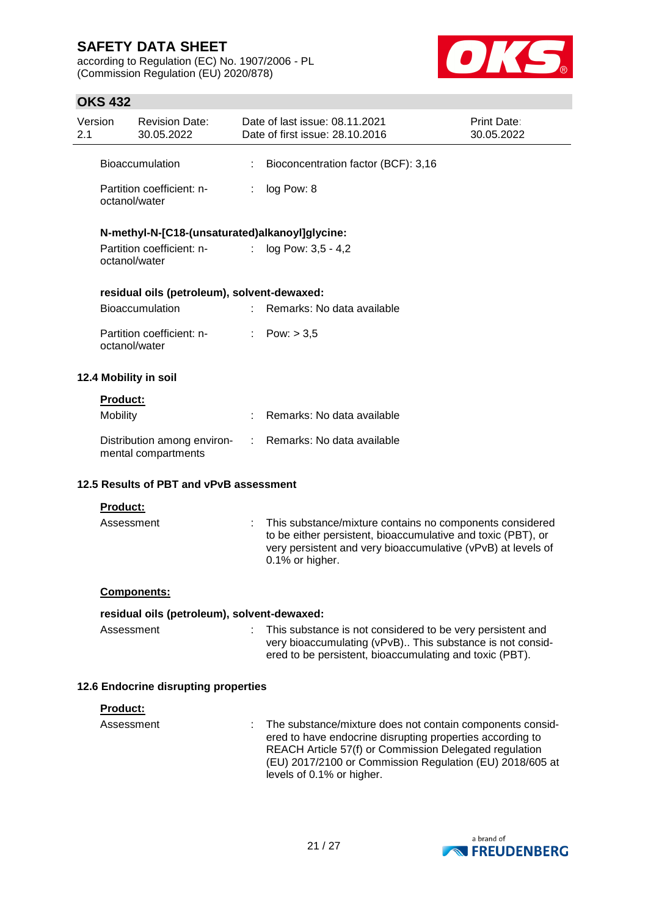according to Regulation (EC) No. 1907/2006 - PL (Commission Regulation (EU) 2020/878)



| Version<br>2.1 |                 | <b>Revision Date:</b><br>30.05.2022                |                           | Date of last issue: 08.11.2021<br>Date of first issue: 28,10,2016                                                                                                                                                                                                         | Print Date:<br>30.05.2022 |
|----------------|-----------------|----------------------------------------------------|---------------------------|---------------------------------------------------------------------------------------------------------------------------------------------------------------------------------------------------------------------------------------------------------------------------|---------------------------|
|                |                 | <b>Bioaccumulation</b>                             | ÷                         | Bioconcentration factor (BCF): 3,16                                                                                                                                                                                                                                       |                           |
|                | octanol/water   | Partition coefficient: n-                          |                           | log Pow: 8                                                                                                                                                                                                                                                                |                           |
|                |                 | N-methyl-N-[C18-(unsaturated)alkanoyl]glycine:     |                           |                                                                                                                                                                                                                                                                           |                           |
|                | octanol/water   | Partition coefficient: n-                          | $\mathbb{R}^n$            | log Pow: 3,5 - 4,2                                                                                                                                                                                                                                                        |                           |
|                |                 | residual oils (petroleum), solvent-dewaxed:        |                           |                                                                                                                                                                                                                                                                           |                           |
|                |                 | <b>Bioaccumulation</b>                             |                           | Remarks: No data available                                                                                                                                                                                                                                                |                           |
|                | octanol/water   | Partition coefficient: n-                          | $\mathbb{Z}^{\mathbb{Z}}$ | Pow: $> 3.5$                                                                                                                                                                                                                                                              |                           |
|                |                 | 12.4 Mobility in soil                              |                           |                                                                                                                                                                                                                                                                           |                           |
|                | <b>Product:</b> |                                                    |                           |                                                                                                                                                                                                                                                                           |                           |
|                | Mobility        |                                                    |                           | Remarks: No data available                                                                                                                                                                                                                                                |                           |
|                |                 | Distribution among environ-<br>mental compartments |                           | : Remarks: No data available                                                                                                                                                                                                                                              |                           |
|                |                 | 12.5 Results of PBT and vPvB assessment            |                           |                                                                                                                                                                                                                                                                           |                           |
|                | <b>Product:</b> |                                                    |                           |                                                                                                                                                                                                                                                                           |                           |
|                | Assessment      |                                                    |                           | This substance/mixture contains no components considered<br>to be either persistent, bioaccumulative and toxic (PBT), or<br>very persistent and very bioaccumulative (vPvB) at levels of<br>0.1% or higher.                                                               |                           |
|                |                 | <b>Components:</b>                                 |                           |                                                                                                                                                                                                                                                                           |                           |
|                |                 | residual oils (petroleum), solvent-dewaxed:        |                           |                                                                                                                                                                                                                                                                           |                           |
|                | Assessment      |                                                    |                           | This substance is not considered to be very persistent and<br>very bioaccumulating (vPvB) This substance is not consid-<br>ered to be persistent, bioaccumulating and toxic (PBT).                                                                                        |                           |
|                |                 | 12.6 Endocrine disrupting properties               |                           |                                                                                                                                                                                                                                                                           |                           |
|                | Product:        |                                                    |                           |                                                                                                                                                                                                                                                                           |                           |
|                | Assessment      |                                                    |                           | The substance/mixture does not contain components consid-<br>ered to have endocrine disrupting properties according to<br>REACH Article 57(f) or Commission Delegated regulation<br>(EU) 2017/2100 or Commission Regulation (EU) 2018/605 at<br>levels of 0.1% or higher. |                           |
|                |                 |                                                    |                           |                                                                                                                                                                                                                                                                           |                           |

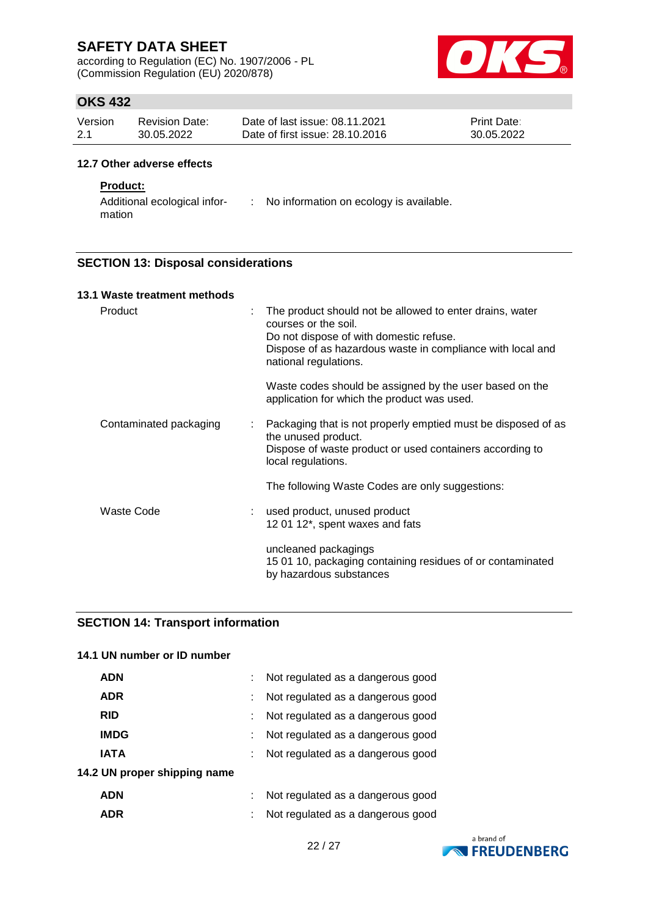according to Regulation (EC) No. 1907/2006 - PL (Commission Regulation (EU) 2020/878)



## **OKS 432**

| Version | Revision Date: | Date of last issue: 08.11.2021  | <b>Print Date:</b> |
|---------|----------------|---------------------------------|--------------------|
| -2.1    | 30.05.2022     | Date of first issue: 28.10.2016 | 30.05.2022         |

### **12.7 Other adverse effects**

### **Product:**

Additional ecological infor-: No information on ecology is available. mation

## **SECTION 13: Disposal considerations**

| 13.1 Waste treatment methods |   |                                                                                                                                                                                                                    |
|------------------------------|---|--------------------------------------------------------------------------------------------------------------------------------------------------------------------------------------------------------------------|
| Product                      |   | The product should not be allowed to enter drains, water<br>courses or the soil.<br>Do not dispose of with domestic refuse.<br>Dispose of as hazardous waste in compliance with local and<br>national regulations. |
|                              |   | Waste codes should be assigned by the user based on the<br>application for which the product was used.                                                                                                             |
| Contaminated packaging       | ÷ | Packaging that is not properly emptied must be disposed of as<br>the unused product.<br>Dispose of waste product or used containers according to<br>local regulations.                                             |
|                              |   | The following Waste Codes are only suggestions:                                                                                                                                                                    |
| Waste Code                   |   | used product, unused product<br>12 01 12*, spent waxes and fats                                                                                                                                                    |
|                              |   | uncleaned packagings<br>15 01 10, packaging containing residues of or contaminated<br>by hazardous substances                                                                                                      |

### **SECTION 14: Transport information**

## **14.1 UN number or ID number**

| <b>ADN</b>                   | Not regulated as a dangerous good |  |
|------------------------------|-----------------------------------|--|
| <b>ADR</b>                   | Not regulated as a dangerous good |  |
| <b>RID</b>                   | Not regulated as a dangerous good |  |
| <b>IMDG</b>                  | Not regulated as a dangerous good |  |
| <b>IATA</b>                  | Not regulated as a dangerous good |  |
| 14.2 UN proper shipping name |                                   |  |
| <b>ADN</b>                   | Not regulated as a dangerous good |  |
| <b>ADR</b>                   | Not regulated as a dangerous good |  |
|                              |                                   |  |

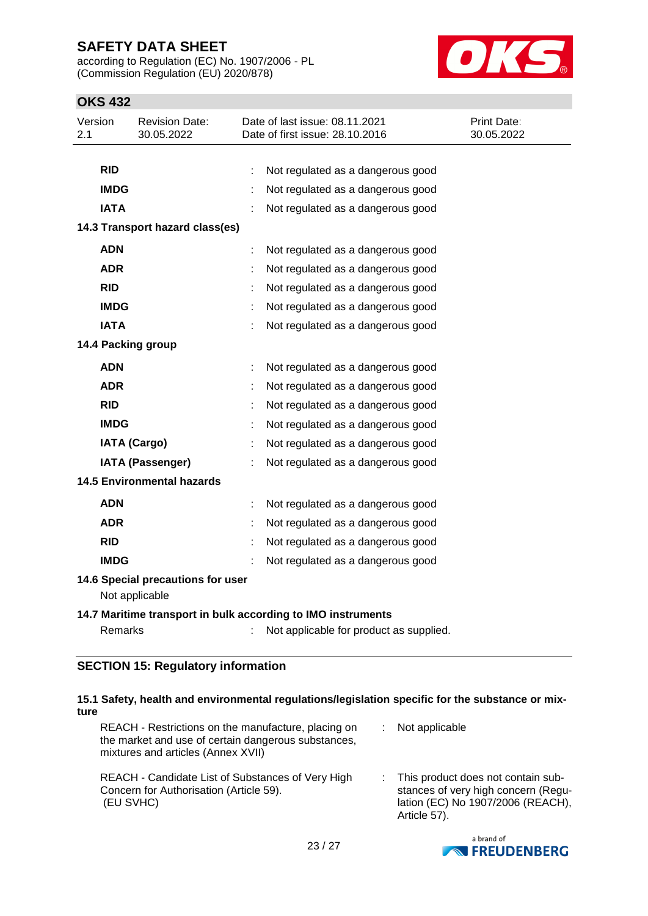according to Regulation (EC) No. 1907/2006 - PL (Commission Regulation (EU) 2020/878)



## **OKS 432**

| Version<br>2.1 | <b>Revision Date:</b><br>30.05.2022                 |   | Date of last issue: 08.11.2021<br>Date of first issue: 28,10,2016 | Print Date:<br>30.05.2022 |
|----------------|-----------------------------------------------------|---|-------------------------------------------------------------------|---------------------------|
|                |                                                     |   |                                                                   |                           |
| <b>RID</b>     |                                                     |   | Not regulated as a dangerous good                                 |                           |
|                | <b>IMDG</b>                                         |   | Not regulated as a dangerous good                                 |                           |
|                | <b>IATA</b>                                         |   | Not regulated as a dangerous good                                 |                           |
|                | 14.3 Transport hazard class(es)                     |   |                                                                   |                           |
| <b>ADN</b>     |                                                     | ÷ | Not regulated as a dangerous good                                 |                           |
| <b>ADR</b>     |                                                     |   | Not regulated as a dangerous good                                 |                           |
| <b>RID</b>     |                                                     | ÷ | Not regulated as a dangerous good                                 |                           |
|                | <b>IMDG</b>                                         |   | Not regulated as a dangerous good                                 |                           |
|                | <b>IATA</b>                                         |   | Not regulated as a dangerous good                                 |                           |
|                | 14.4 Packing group                                  |   |                                                                   |                           |
| <b>ADN</b>     |                                                     | ÷ | Not regulated as a dangerous good                                 |                           |
| <b>ADR</b>     |                                                     | t | Not regulated as a dangerous good                                 |                           |
| <b>RID</b>     |                                                     | ÷ | Not regulated as a dangerous good                                 |                           |
|                | <b>IMDG</b>                                         |   | Not regulated as a dangerous good                                 |                           |
|                | <b>IATA (Cargo)</b>                                 |   | Not regulated as a dangerous good                                 |                           |
|                | <b>IATA (Passenger)</b>                             |   | Not regulated as a dangerous good                                 |                           |
|                | <b>14.5 Environmental hazards</b>                   |   |                                                                   |                           |
| <b>ADN</b>     |                                                     |   | Not regulated as a dangerous good                                 |                           |
| <b>ADR</b>     |                                                     | ÷ | Not regulated as a dangerous good                                 |                           |
| <b>RID</b>     |                                                     |   | Not regulated as a dangerous good                                 |                           |
|                | <b>IMDG</b>                                         |   | Not regulated as a dangerous good                                 |                           |
|                | 14.6 Special precautions for user<br>Not applicable |   |                                                                   |                           |
|                |                                                     |   | 14.7 Maritime transport in bulk according to IMO instruments      |                           |
|                | Remarks                                             |   | Not applicable for product as supplied.                           |                           |
|                |                                                     |   |                                                                   |                           |

## **SECTION 15: Regulatory information**

#### **15.1 Safety, health and environmental regulations/legislation specific for the substance or mixture**

| REACH - Restrictions on the manufacture, placing on<br>the market and use of certain dangerous substances,<br>mixtures and articles (Annex XVII) | $:$ Not applicable                                                                                                               |
|--------------------------------------------------------------------------------------------------------------------------------------------------|----------------------------------------------------------------------------------------------------------------------------------|
| REACH - Candidate List of Substances of Very High<br>Concern for Authorisation (Article 59).<br>(EU SVHC)                                        | : This product does not contain sub-<br>stances of very high concern (Regu-<br>lation (EC) No 1907/2006 (REACH),<br>Article 57). |

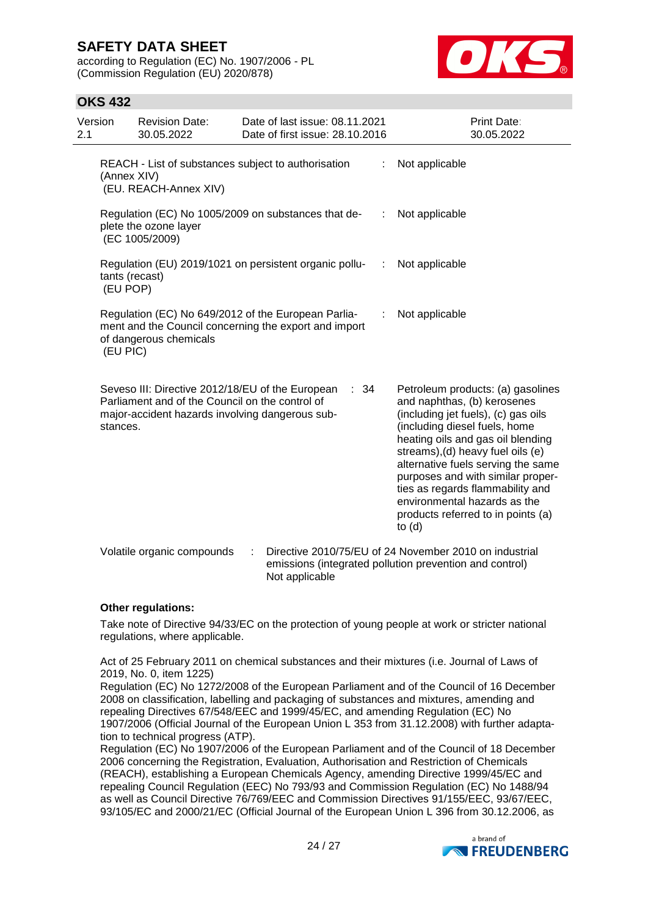according to Regulation (EC) No. 1907/2006 - PL (Commission Regulation (EU) 2020/878)



## **OKS 432**

| Version<br>2.1 | <b>Revision Date:</b><br>30.05.2022                                                                                                                    | Date of last issue: 08.11.2021<br>Date of first issue: 28.10.2016                                            |    | Print Date:<br>30.05.2022                                                                                                                                                                                                                                                                                                                                                                                           |
|----------------|--------------------------------------------------------------------------------------------------------------------------------------------------------|--------------------------------------------------------------------------------------------------------------|----|---------------------------------------------------------------------------------------------------------------------------------------------------------------------------------------------------------------------------------------------------------------------------------------------------------------------------------------------------------------------------------------------------------------------|
|                | (Annex XIV)<br>(EU. REACH-Annex XIV)                                                                                                                   | REACH - List of substances subject to authorisation                                                          | ÷  | Not applicable                                                                                                                                                                                                                                                                                                                                                                                                      |
|                | plete the ozone layer<br>(EC 1005/2009)                                                                                                                | Regulation (EC) No 1005/2009 on substances that de-                                                          | ÷. | Not applicable                                                                                                                                                                                                                                                                                                                                                                                                      |
|                | tants (recast)<br>(EU POP)                                                                                                                             | Regulation (EU) 2019/1021 on persistent organic pollu-                                                       | ÷  | Not applicable                                                                                                                                                                                                                                                                                                                                                                                                      |
|                | of dangerous chemicals<br>(EU PIC)                                                                                                                     | Regulation (EC) No 649/2012 of the European Parlia-<br>ment and the Council concerning the export and import |    | Not applicable                                                                                                                                                                                                                                                                                                                                                                                                      |
| stances.       | Seveso III: Directive 2012/18/EU of the European<br>Parliament and of the Council on the control of<br>major-accident hazards involving dangerous sub- | : 34                                                                                                         |    | Petroleum products: (a) gasolines<br>and naphthas, (b) kerosenes<br>(including jet fuels), (c) gas oils<br>(including diesel fuels, home<br>heating oils and gas oil blending<br>streams), (d) heavy fuel oils (e)<br>alternative fuels serving the same<br>purposes and with similar proper-<br>ties as regards flammability and<br>environmental hazards as the<br>products referred to in points (a)<br>to $(d)$ |
|                | Volatile organic compounds                                                                                                                             | Not applicable                                                                                               |    | Directive 2010/75/EU of 24 November 2010 on industrial<br>emissions (integrated pollution prevention and control)                                                                                                                                                                                                                                                                                                   |

#### **Other regulations:**

Take note of Directive 94/33/EC on the protection of young people at work or stricter national regulations, where applicable.

Act of 25 February 2011 on chemical substances and their mixtures (i.e. Journal of Laws of 2019, No. 0, item 1225)

Regulation (EC) No 1272/2008 of the European Parliament and of the Council of 16 December 2008 on classification, labelling and packaging of substances and mixtures, amending and repealing Directives 67/548/EEC and 1999/45/EC, and amending Regulation (EC) No 1907/2006 (Official Journal of the European Union L 353 from 31.12.2008) with further adaptation to technical progress (ATP).

Regulation (EC) No 1907/2006 of the European Parliament and of the Council of 18 December 2006 concerning the Registration, Evaluation, Authorisation and Restriction of Chemicals (REACH), establishing a European Chemicals Agency, amending Directive 1999/45/EC and repealing Council Regulation (EEC) No 793/93 and Commission Regulation (EC) No 1488/94 as well as Council Directive 76/769/EEC and Commission Directives 91/155/EEC, 93/67/EEC, 93/105/EC and 2000/21/EC (Official Journal of the European Union L 396 from 30.12.2006, as

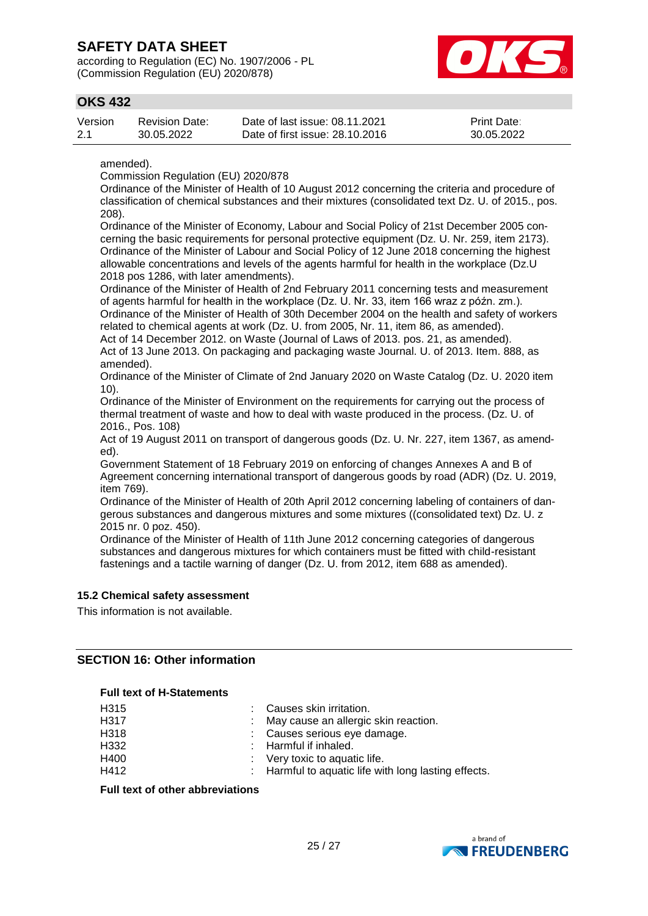according to Regulation (EC) No. 1907/2006 - PL (Commission Regulation (EU) 2020/878)



## **OKS 432**

| Version | <b>Revision Date:</b> | Date of last issue: 08.11.2021  | <b>Print Date:</b> |
|---------|-----------------------|---------------------------------|--------------------|
| 2.1     | 30.05.2022            | Date of first issue: 28.10.2016 | 30.05.2022         |

amended).

Commission Regulation (EU) 2020/878

Ordinance of the Minister of Health of 10 August 2012 concerning the criteria and procedure of classification of chemical substances and their mixtures (consolidated text Dz. U. of 2015., pos. 208).

Ordinance of the Minister of Economy, Labour and Social Policy of 21st December 2005 concerning the basic requirements for personal protective equipment (Dz. U. Nr. 259, item 2173). Ordinance of the Minister of Labour and Social Policy of 12 June 2018 concerning the highest allowable concentrations and levels of the agents harmful for health in the workplace (Dz.U 2018 pos 1286, with later amendments).

Ordinance of the Minister of Health of 2nd February 2011 concerning tests and measurement of agents harmful for health in the workplace (Dz. U. Nr. 33, item 166 wraz z późn. zm.). Ordinance of the Minister of Health of 30th December 2004 on the health and safety of workers related to chemical agents at work (Dz. U. from 2005, Nr. 11, item 86, as amended).

Act of 14 December 2012. on Waste (Journal of Laws of 2013. pos. 21, as amended). Act of 13 June 2013. On packaging and packaging waste Journal. U. of 2013. Item. 888, as amended).

Ordinance of the Minister of Climate of 2nd January 2020 on Waste Catalog (Dz. U. 2020 item 10).

Ordinance of the Minister of Environment on the requirements for carrying out the process of thermal treatment of waste and how to deal with waste produced in the process. (Dz. U. of 2016., Pos. 108)

Act of 19 August 2011 on transport of dangerous goods (Dz. U. Nr. 227, item 1367, as amended).

Government Statement of 18 February 2019 on enforcing of changes Annexes A and B of Agreement concerning international transport of dangerous goods by road (ADR) (Dz. U. 2019, item 769).

Ordinance of the Minister of Health of 20th April 2012 concerning labeling of containers of dangerous substances and dangerous mixtures and some mixtures ((consolidated text) Dz. U. z 2015 nr. 0 poz. 450).

Ordinance of the Minister of Health of 11th June 2012 concerning categories of dangerous substances and dangerous mixtures for which containers must be fitted with child-resistant fastenings and a tactile warning of danger (Dz. U. from 2012, item 688 as amended).

### **15.2 Chemical safety assessment**

This information is not available.

## **SECTION 16: Other information**

#### **Full text of H-Statements**

| H315 | : Causes skin irritation.                            |
|------|------------------------------------------------------|
| H317 | : May cause an allergic skin reaction.               |
| H318 | : Causes serious eye damage.                         |
| H332 | $:$ Harmful if inhaled.                              |
| H400 | $\therefore$ Very toxic to aquatic life.             |
| H412 | : Harmful to aquatic life with long lasting effects. |
|      |                                                      |

**Full text of other abbreviations**

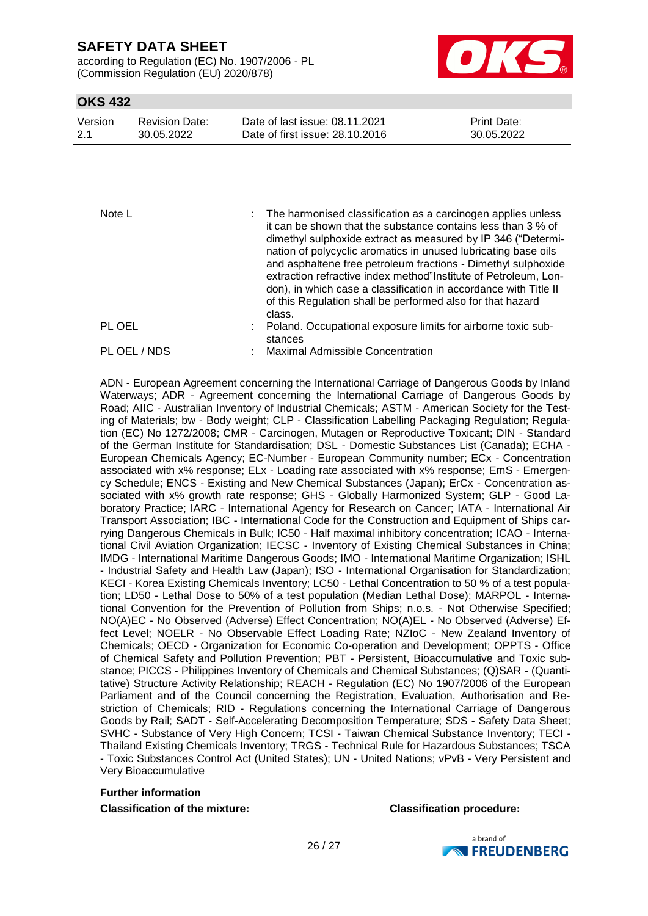according to Regulation (EC) No. 1907/2006 - PL (Commission Regulation (EU) 2020/878)



## **OKS 432**

| Version | <b>Revision Date:</b> | Date of last issue: 08.11.2021  | <b>Print Date:</b> |
|---------|-----------------------|---------------------------------|--------------------|
| 2.1     | 30.05.2022            | Date of first issue: 28.10.2016 | 30.05.2022         |

Note L **integral in the harmonised classification as a carcinogen applies unless** it can be shown that the substance contains less than 3 % of dimethyl sulphoxide extract as measured by IP 346 ("Determination of polycyclic aromatics in unused lubricating base oils and asphaltene free petroleum fractions - Dimethyl sulphoxide extraction refractive index method"Institute of Petroleum, London), in which case a classification in accordance with Title II of this Regulation shall be performed also for that hazard class. PL OEL : Poland. Occupational exposure limits for airborne toxic substances PL OEL / NDS : Maximal Admissible Concentration

ADN - European Agreement concerning the International Carriage of Dangerous Goods by Inland Waterways; ADR - Agreement concerning the International Carriage of Dangerous Goods by Road; AIIC - Australian Inventory of Industrial Chemicals; ASTM - American Society for the Testing of Materials; bw - Body weight; CLP - Classification Labelling Packaging Regulation; Regulation (EC) No 1272/2008; CMR - Carcinogen, Mutagen or Reproductive Toxicant; DIN - Standard of the German Institute for Standardisation; DSL - Domestic Substances List (Canada); ECHA - European Chemicals Agency; EC-Number - European Community number; ECx - Concentration associated with x% response; ELx - Loading rate associated with x% response; EmS - Emergency Schedule; ENCS - Existing and New Chemical Substances (Japan); ErCx - Concentration associated with x% growth rate response; GHS - Globally Harmonized System; GLP - Good Laboratory Practice; IARC - International Agency for Research on Cancer; IATA - International Air Transport Association; IBC - International Code for the Construction and Equipment of Ships carrying Dangerous Chemicals in Bulk; IC50 - Half maximal inhibitory concentration; ICAO - International Civil Aviation Organization; IECSC - Inventory of Existing Chemical Substances in China; IMDG - International Maritime Dangerous Goods; IMO - International Maritime Organization; ISHL - Industrial Safety and Health Law (Japan); ISO - International Organisation for Standardization; KECI - Korea Existing Chemicals Inventory; LC50 - Lethal Concentration to 50 % of a test population; LD50 - Lethal Dose to 50% of a test population (Median Lethal Dose); MARPOL - International Convention for the Prevention of Pollution from Ships; n.o.s. - Not Otherwise Specified; NO(A)EC - No Observed (Adverse) Effect Concentration; NO(A)EL - No Observed (Adverse) Effect Level; NOELR - No Observable Effect Loading Rate; NZIoC - New Zealand Inventory of Chemicals; OECD - Organization for Economic Co-operation and Development; OPPTS - Office of Chemical Safety and Pollution Prevention; PBT - Persistent, Bioaccumulative and Toxic substance; PICCS - Philippines Inventory of Chemicals and Chemical Substances; (Q)SAR - (Quantitative) Structure Activity Relationship; REACH - Regulation (EC) No 1907/2006 of the European Parliament and of the Council concerning the Registration, Evaluation, Authorisation and Restriction of Chemicals; RID - Regulations concerning the International Carriage of Dangerous Goods by Rail; SADT - Self-Accelerating Decomposition Temperature; SDS - Safety Data Sheet; SVHC - Substance of Very High Concern; TCSI - Taiwan Chemical Substance Inventory; TECI - Thailand Existing Chemicals Inventory; TRGS - Technical Rule for Hazardous Substances; TSCA - Toxic Substances Control Act (United States); UN - United Nations; vPvB - Very Persistent and Very Bioaccumulative

### **Further information Classification of the mixture: Classification procedure:**